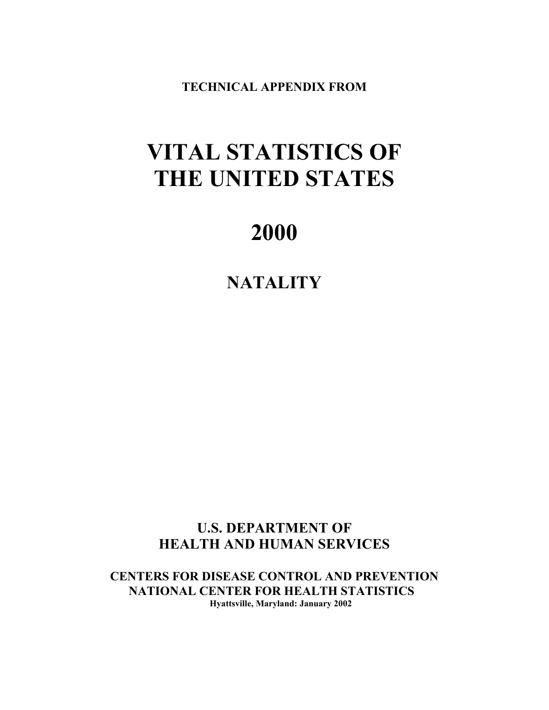**TECHNICAL APPENDIX FROM**

# **VITAL STATISTICS OF THE UNITED STATES**

# **2000**

**NATALITY**

**U.S. DEPARTMENT OF HEALTH AND HUMAN SERVICES** 

**CENTERS FOR DISEASE CONTROL AND PREVENTION NATIONAL CENTER FOR HEALTH STATISTICS Hyattsville, Maryland: January 2002**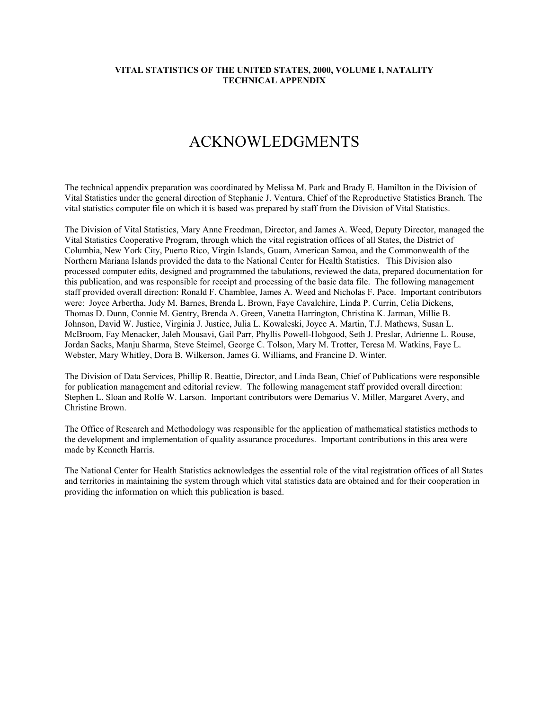# ACKNOWLEDGMENTS

The technical appendix preparation was coordinated by Melissa M. Park and Brady E. Hamilton in the Division of Vital Statistics under the general direction of Stephanie J. Ventura, Chief of the Reproductive Statistics Branch. The vital statistics computer file on which it is based was prepared by staff from the Division of Vital Statistics.

The Division of Vital Statistics, Mary Anne Freedman, Director, and James A. Weed, Deputy Director, managed the Vital Statistics Cooperative Program, through which the vital registration offices of all States, the District of Columbia, New York City, Puerto Rico, Virgin Islands, Guam, American Samoa, and the Commonwealth of the Northern Mariana Islands provided the data to the National Center for Health Statistics. This Division also processed computer edits, designed and programmed the tabulations, reviewed the data, prepared documentation for this publication, and was responsible for receipt and processing of the basic data file. The following management staff provided overall direction: Ronald F. Chamblee, James A. Weed and Nicholas F. Pace. Important contributors were: Joyce Arbertha, Judy M. Barnes, Brenda L. Brown, Faye Cavalchire, Linda P. Currin, Celia Dickens, Thomas D. Dunn, Connie M. Gentry, Brenda A. Green, Vanetta Harrington, Christina K. Jarman, Millie B. Johnson, David W. Justice, Virginia J. Justice, Julia L. Kowaleski, Joyce A. Martin, T.J. Mathews, Susan L. McBroom, Fay Menacker, Jaleh Mousavi, Gail Parr, Phyllis Powell-Hobgood, Seth J. Preslar, Adrienne L. Rouse, Jordan Sacks, Manju Sharma, Steve Steimel, George C. Tolson, Mary M. Trotter, Teresa M. Watkins, Faye L. Webster, Mary Whitley, Dora B. Wilkerson, James G. Williams, and Francine D. Winter.

The Division of Data Services, Phillip R. Beattie, Director, and Linda Bean, Chief of Publications were responsible for publication management and editorial review. The following management staff provided overall direction: Stephen L. Sloan and Rolfe W. Larson. Important contributors were Demarius V. Miller, Margaret Avery, and Christine Brown.

The Office of Research and Methodology was responsible for the application of mathematical statistics methods to the development and implementation of quality assurance procedures. Important contributions in this area were made by Kenneth Harris.

The National Center for Health Statistics acknowledges the essential role of the vital registration offices of all States and territories in maintaining the system through which vital statistics data are obtained and for their cooperation in providing the information on which this publication is based.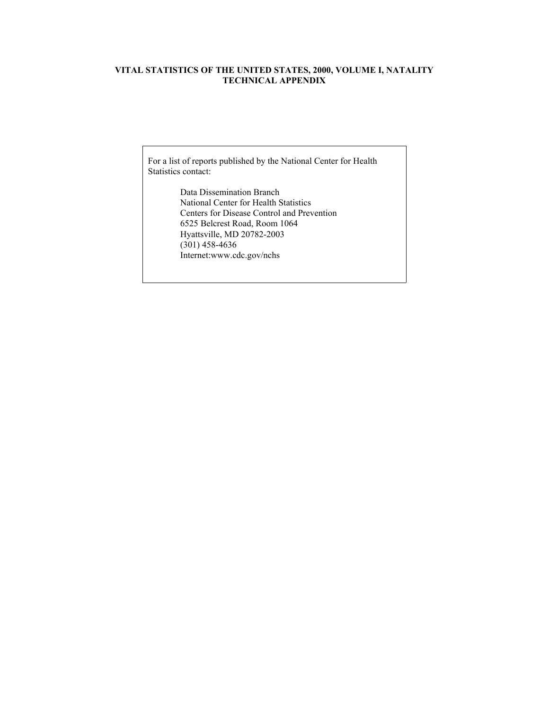For a list of reports published by the National Center for Health Statistics contact:

> Data Dissemination Branch National Center for Health Statistics Centers for Disease Control and Prevention 6525 Belcrest Road, Room 1064 Hyattsville, MD 20782-2003 (301) 458-4636 Internet:www.cdc.gov/nchs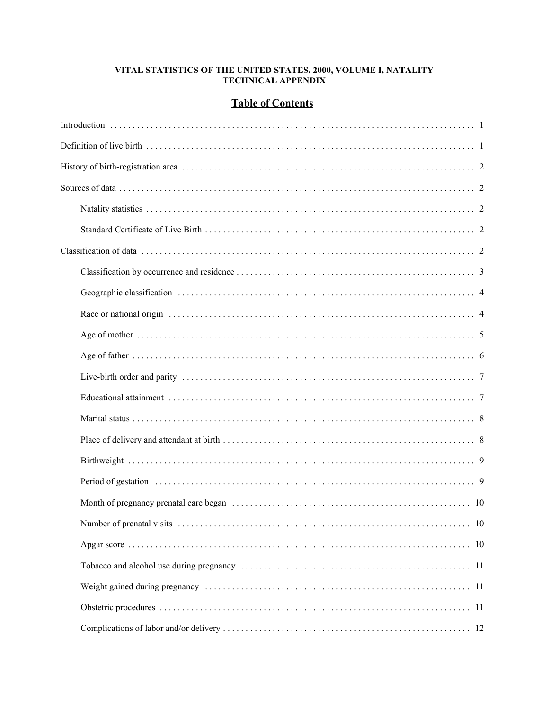# **Table of Contents**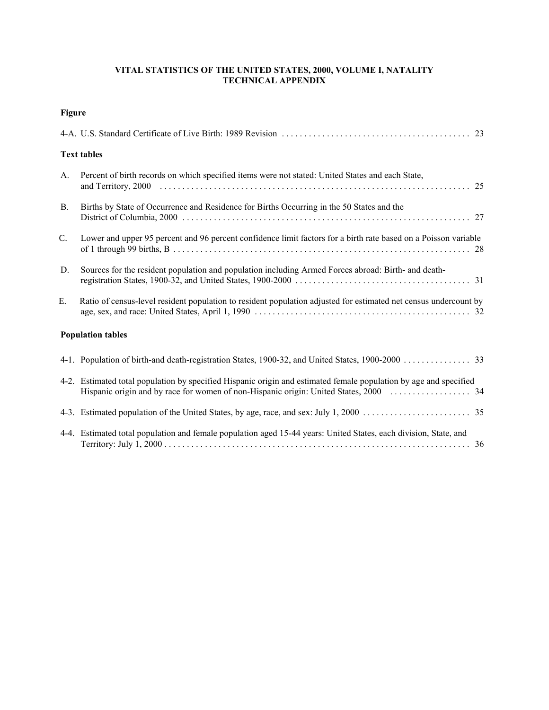| ı<br>н |  |
|--------|--|
|        |  |

|           | <b>Text tables</b>                                                                                                |  |
|-----------|-------------------------------------------------------------------------------------------------------------------|--|
| A.        | Percent of birth records on which specified items were not stated: United States and each State,                  |  |
| <b>B.</b> | Births by State of Occurrence and Residence for Births Occurring in the 50 States and the                         |  |
| C.        | Lower and upper 95 percent and 96 percent confidence limit factors for a birth rate based on a Poisson variable   |  |
| D.        | Sources for the resident population and population including Armed Forces abroad: Birth- and death-               |  |
| E.        | Ratio of census-level resident population to resident population adjusted for estimated net census undercount by  |  |
|           | <b>Population tables</b>                                                                                          |  |
|           | 4-1. Population of birth-and death-registration States, 1900-32, and United States, 1900-2000 33                  |  |
|           | 4-2. Estimated total population by specified Hispanic origin and estimated female population by age and specified |  |
|           |                                                                                                                   |  |
|           | 4-4. Estimated total population and female population aged 15-44 years: United States, each division, State, and  |  |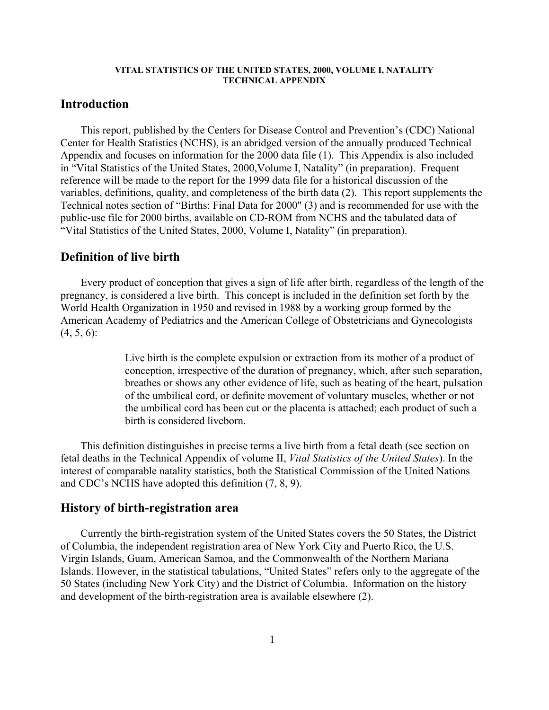# **Introduction**

This report, published by the Centers for Disease Control and Prevention's (CDC) National Center for Health Statistics (NCHS), is an abridged version of the annually produced Technical Appendix and focuses on information for the 2000 data file (1). This Appendix is also included in "Vital Statistics of the United States, 2000,Volume I, Natality" (in preparation). Frequent reference will be made to the report for the 1999 data file for a historical discussion of the variables, definitions, quality, and completeness of the birth data (2). This report supplements the Technical notes section of "Births: Final Data for 2000" (3) and is recommended for use with the public-use file for 2000 births, available on CD-ROM from NCHS and the tabulated data of "Vital Statistics of the United States, 2000, Volume I, Natality" (in preparation).

# **Definition of live birth**

Every product of conception that gives a sign of life after birth, regardless of the length of the pregnancy, is considered a live birth. This concept is included in the definition set forth by the World Health Organization in 1950 and revised in 1988 by a working group formed by the American Academy of Pediatrics and the American College of Obstetricians and Gynecologists  $(4, 5, 6)$ :

> Live birth is the complete expulsion or extraction from its mother of a product of conception, irrespective of the duration of pregnancy, which, after such separation, breathes or shows any other evidence of life, such as beating of the heart, pulsation of the umbilical cord, or definite movement of voluntary muscles, whether or not the umbilical cord has been cut or the placenta is attached; each product of such a birth is considered liveborn.

This definition distinguishes in precise terms a live birth from a fetal death (see section on fetal deaths in the Technical Appendix of volume II, *Vital Statistics of the United States*). In the interest of comparable natality statistics, both the Statistical Commission of the United Nations and CDC's NCHS have adopted this definition (7, 8, 9).

# **History of birth-registration area**

Currently the birth-registration system of the United States covers the 50 States, the District of Columbia, the independent registration area of New York City and Puerto Rico, the U.S. Virgin Islands, Guam, American Samoa, and the Commonwealth of the Northern Mariana Islands. However, in the statistical tabulations, "United States" refers only to the aggregate of the 50 States (including New York City) and the District of Columbia. Information on the history and development of the birth-registration area is available elsewhere (2).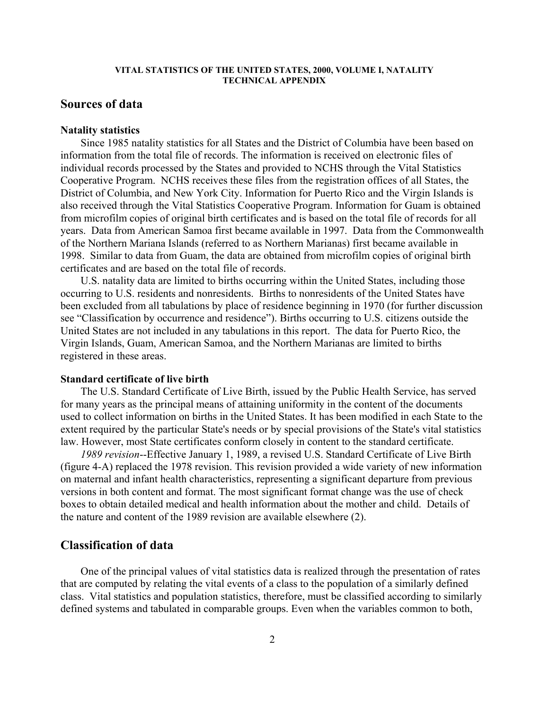# **Sources of data**

# **Natality statistics**

Since 1985 natality statistics for all States and the District of Columbia have been based on information from the total file of records. The information is received on electronic files of individual records processed by the States and provided to NCHS through the Vital Statistics Cooperative Program. NCHS receives these files from the registration offices of all States, the District of Columbia, and New York City. Information for Puerto Rico and the Virgin Islands is also received through the Vital Statistics Cooperative Program. Information for Guam is obtained from microfilm copies of original birth certificates and is based on the total file of records for all years. Data from American Samoa first became available in 1997. Data from the Commonwealth of the Northern Mariana Islands (referred to as Northern Marianas) first became available in 1998. Similar to data from Guam, the data are obtained from microfilm copies of original birth certificates and are based on the total file of records.

U.S. natality data are limited to births occurring within the United States, including those occurring to U.S. residents and nonresidents. Births to nonresidents of the United States have been excluded from all tabulations by place of residence beginning in 1970 (for further discussion see "Classification by occurrence and residence"). Births occurring to U.S. citizens outside the United States are not included in any tabulations in this report. The data for Puerto Rico, the Virgin Islands, Guam, American Samoa, and the Northern Marianas are limited to births registered in these areas.

#### **Standard certificate of live birth**

The U.S. Standard Certificate of Live Birth, issued by the Public Health Service, has served for many years as the principal means of attaining uniformity in the content of the documents used to collect information on births in the United States. It has been modified in each State to the extent required by the particular State's needs or by special provisions of the State's vital statistics law. However, most State certificates conform closely in content to the standard certificate.

*1989 revision*--Effective January 1, 1989, a revised U.S. Standard Certificate of Live Birth (figure 4-A) replaced the 1978 revision. This revision provided a wide variety of new information on maternal and infant health characteristics, representing a significant departure from previous versions in both content and format. The most significant format change was the use of check boxes to obtain detailed medical and health information about the mother and child. Details of the nature and content of the 1989 revision are available elsewhere (2).

# **Classification of data**

One of the principal values of vital statistics data is realized through the presentation of rates that are computed by relating the vital events of a class to the population of a similarly defined class. Vital statistics and population statistics, therefore, must be classified according to similarly defined systems and tabulated in comparable groups. Even when the variables common to both,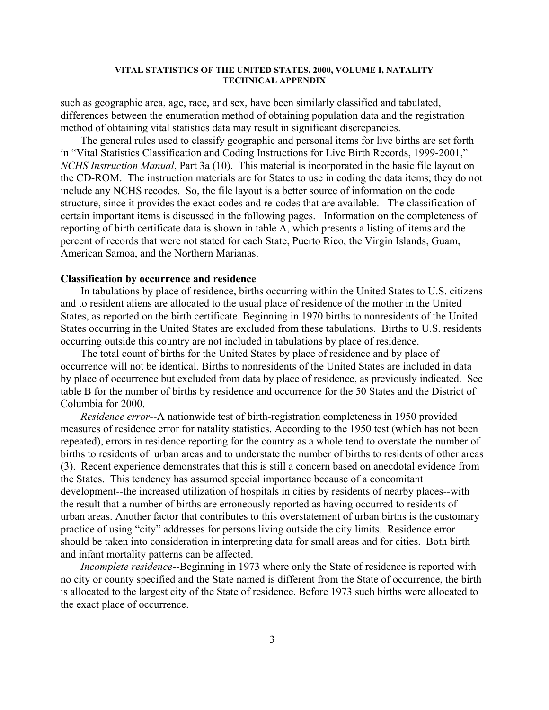such as geographic area, age, race, and sex, have been similarly classified and tabulated, differences between the enumeration method of obtaining population data and the registration method of obtaining vital statistics data may result in significant discrepancies.

The general rules used to classify geographic and personal items for live births are set forth in "Vital Statistics Classification and Coding Instructions for Live Birth Records, 1999-2001," *NCHS Instruction Manual*, Part 3a (10). This material is incorporated in the basic file layout on the CD-ROM. The instruction materials are for States to use in coding the data items; they do not include any NCHS recodes. So, the file layout is a better source of information on the code structure, since it provides the exact codes and re-codes that are available. The classification of certain important items is discussed in the following pages. Information on the completeness of reporting of birth certificate data is shown in table A, which presents a listing of items and the percent of records that were not stated for each State, Puerto Rico, the Virgin Islands, Guam, American Samoa, and the Northern Marianas.

#### **Classification by occurrence and residence**

In tabulations by place of residence, births occurring within the United States to U.S. citizens and to resident aliens are allocated to the usual place of residence of the mother in the United States, as reported on the birth certificate. Beginning in 1970 births to nonresidents of the United States occurring in the United States are excluded from these tabulations. Births to U.S. residents occurring outside this country are not included in tabulations by place of residence.

The total count of births for the United States by place of residence and by place of occurrence will not be identical. Births to nonresidents of the United States are included in data by place of occurrence but excluded from data by place of residence, as previously indicated. See table B for the number of births by residence and occurrence for the 50 States and the District of Columbia for 2000.

*Residence error*--A nationwide test of birth-registration completeness in 1950 provided measures of residence error for natality statistics. According to the 1950 test (which has not been repeated), errors in residence reporting for the country as a whole tend to overstate the number of births to residents of urban areas and to understate the number of births to residents of other areas (3). Recent experience demonstrates that this is still a concern based on anecdotal evidence from the States. This tendency has assumed special importance because of a concomitant development--the increased utilization of hospitals in cities by residents of nearby places--with the result that a number of births are erroneously reported as having occurred to residents of urban areas. Another factor that contributes to this overstatement of urban births is the customary practice of using "city" addresses for persons living outside the city limits. Residence error should be taken into consideration in interpreting data for small areas and for cities. Both birth and infant mortality patterns can be affected.

*Incomplete residence*--Beginning in 1973 where only the State of residence is reported with no city or county specified and the State named is different from the State of occurrence, the birth is allocated to the largest city of the State of residence. Before 1973 such births were allocated to the exact place of occurrence.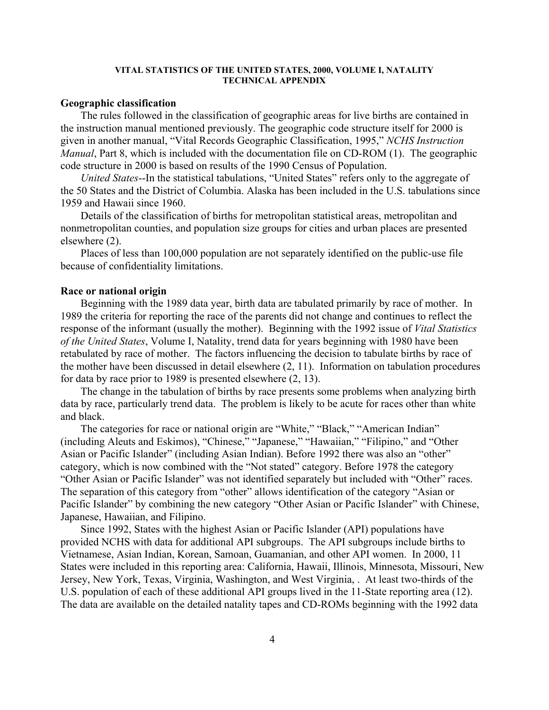# **Geographic classification**

The rules followed in the classification of geographic areas for live births are contained in the instruction manual mentioned previously. The geographic code structure itself for 2000 is given in another manual, "Vital Records Geographic Classification, 1995," *NCHS Instruction Manual*, Part 8, which is included with the documentation file on CD-ROM (1). The geographic code structure in 2000 is based on results of the 1990 Census of Population.

*United States*--In the statistical tabulations, "United States" refers only to the aggregate of the 50 States and the District of Columbia. Alaska has been included in the U.S. tabulations since 1959 and Hawaii since 1960.

Details of the classification of births for metropolitan statistical areas, metropolitan and nonmetropolitan counties, and population size groups for cities and urban places are presented elsewhere (2).

Places of less than 100,000 population are not separately identified on the public-use file because of confidentiality limitations.

# **Race or national origin**

Beginning with the 1989 data year, birth data are tabulated primarily by race of mother. In 1989 the criteria for reporting the race of the parents did not change and continues to reflect the response of the informant (usually the mother). Beginning with the 1992 issue of *Vital Statistics of the United States*, Volume I, Natality, trend data for years beginning with 1980 have been retabulated by race of mother. The factors influencing the decision to tabulate births by race of the mother have been discussed in detail elsewhere (2, 11). Information on tabulation procedures for data by race prior to 1989 is presented elsewhere (2, 13).

The change in the tabulation of births by race presents some problems when analyzing birth data by race, particularly trend data. The problem is likely to be acute for races other than white and black.

The categories for race or national origin are "White," "Black," "American Indian" (including Aleuts and Eskimos), "Chinese," "Japanese," "Hawaiian," "Filipino," and "Other Asian or Pacific Islander" (including Asian Indian). Before 1992 there was also an "other" category, which is now combined with the "Not stated" category. Before 1978 the category "Other Asian or Pacific Islander" was not identified separately but included with "Other" races. The separation of this category from "other" allows identification of the category "Asian or Pacific Islander" by combining the new category "Other Asian or Pacific Islander" with Chinese, Japanese, Hawaiian, and Filipino.

Since 1992, States with the highest Asian or Pacific Islander (API) populations have provided NCHS with data for additional API subgroups. The API subgroups include births to Vietnamese, Asian Indian, Korean, Samoan, Guamanian, and other API women. In 2000, 11 States were included in this reporting area: California, Hawaii, Illinois, Minnesota, Missouri, New Jersey, New York, Texas, Virginia, Washington, and West Virginia, . At least two-thirds of the U.S. population of each of these additional API groups lived in the 11-State reporting area (12). The data are available on the detailed natality tapes and CD-ROMs beginning with the 1992 data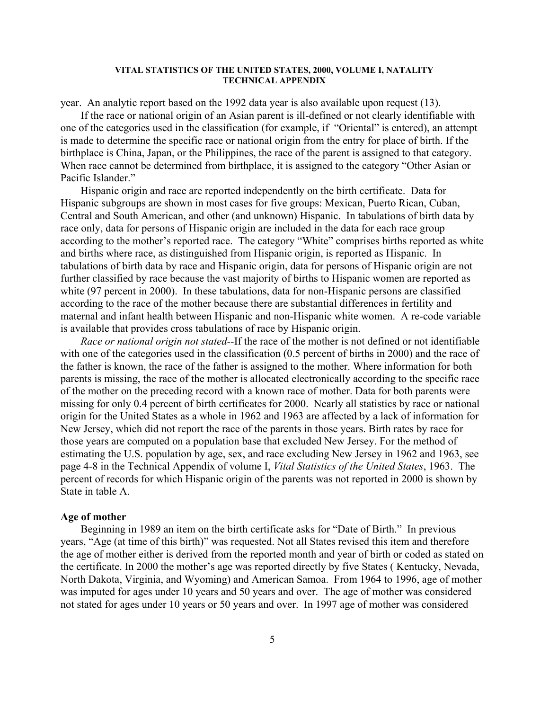year. An analytic report based on the 1992 data year is also available upon request (13).

If the race or national origin of an Asian parent is ill-defined or not clearly identifiable with one of the categories used in the classification (for example, if "Oriental" is entered), an attempt is made to determine the specific race or national origin from the entry for place of birth. If the birthplace is China, Japan, or the Philippines, the race of the parent is assigned to that category. When race cannot be determined from birthplace, it is assigned to the category "Other Asian or Pacific Islander."

Hispanic origin and race are reported independently on the birth certificate. Data for Hispanic subgroups are shown in most cases for five groups: Mexican, Puerto Rican, Cuban, Central and South American, and other (and unknown) Hispanic. In tabulations of birth data by race only, data for persons of Hispanic origin are included in the data for each race group according to the mother's reported race. The category "White" comprises births reported as white and births where race, as distinguished from Hispanic origin, is reported as Hispanic. In tabulations of birth data by race and Hispanic origin, data for persons of Hispanic origin are not further classified by race because the vast majority of births to Hispanic women are reported as white (97 percent in 2000). In these tabulations, data for non-Hispanic persons are classified according to the race of the mother because there are substantial differences in fertility and maternal and infant health between Hispanic and non-Hispanic white women. A re-code variable is available that provides cross tabulations of race by Hispanic origin.

*Race or national origin not stated*--If the race of the mother is not defined or not identifiable with one of the categories used in the classification (0.5 percent of births in 2000) and the race of the father is known, the race of the father is assigned to the mother. Where information for both parents is missing, the race of the mother is allocated electronically according to the specific race of the mother on the preceding record with a known race of mother. Data for both parents were missing for only 0.4 percent of birth certificates for 2000. Nearly all statistics by race or national origin for the United States as a whole in 1962 and 1963 are affected by a lack of information for New Jersey, which did not report the race of the parents in those years. Birth rates by race for those years are computed on a population base that excluded New Jersey. For the method of estimating the U.S. population by age, sex, and race excluding New Jersey in 1962 and 1963, see page 4-8 in the Technical Appendix of volume I, *Vital Statistics of the United States*, 1963. The percent of records for which Hispanic origin of the parents was not reported in 2000 is shown by State in table A.

# **Age of mother**

Beginning in 1989 an item on the birth certificate asks for "Date of Birth." In previous years, "Age (at time of this birth)" was requested. Not all States revised this item and therefore the age of mother either is derived from the reported month and year of birth or coded as stated on the certificate. In 2000 the mother's age was reported directly by five States ( Kentucky, Nevada, North Dakota, Virginia, and Wyoming) and American Samoa. From 1964 to 1996, age of mother was imputed for ages under 10 years and 50 years and over. The age of mother was considered not stated for ages under 10 years or 50 years and over. In 1997 age of mother was considered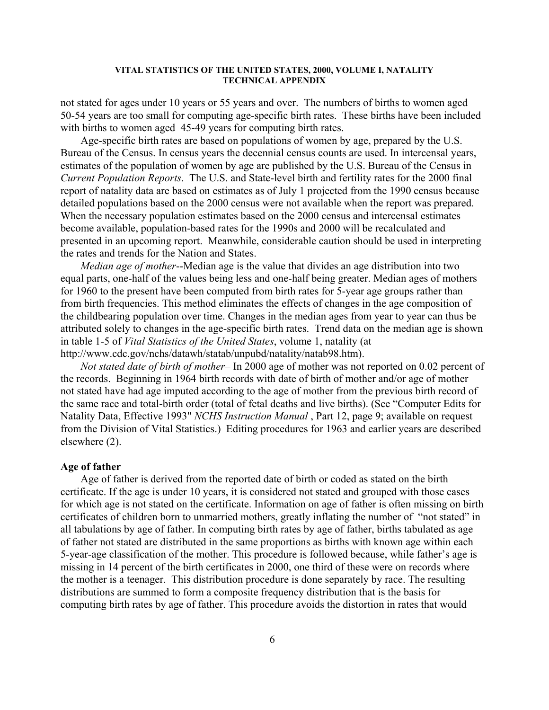not stated for ages under 10 years or 55 years and over. The numbers of births to women aged 50-54 years are too small for computing age-specific birth rates. These births have been included with births to women aged 45-49 years for computing birth rates.

Age-specific birth rates are based on populations of women by age, prepared by the U.S. Bureau of the Census. In census years the decennial census counts are used. In intercensal years, estimates of the population of women by age are published by the U.S. Bureau of the Census in *Current Population Reports*. The U.S. and State-level birth and fertility rates for the 2000 final report of natality data are based on estimates as of July 1 projected from the 1990 census because detailed populations based on the 2000 census were not available when the report was prepared. When the necessary population estimates based on the 2000 census and intercensal estimates become available, population-based rates for the 1990s and 2000 will be recalculated and presented in an upcoming report. Meanwhile, considerable caution should be used in interpreting the rates and trends for the Nation and States.

*Median age of mother*--Median age is the value that divides an age distribution into two equal parts, one-half of the values being less and one-half being greater. Median ages of mothers for 1960 to the present have been computed from birth rates for 5-year age groups rather than from birth frequencies. This method eliminates the effects of changes in the age composition of the childbearing population over time. Changes in the median ages from year to year can thus be attributed solely to changes in the age-specific birth rates. Trend data on the median age is shown in table 1-5 of *Vital Statistics of the United States*, volume 1, natality (at http://www.cdc.gov/nchs/datawh/statab/unpubd/natality/natab98.htm).

*Not stated date of birth of mother*– In 2000 age of mother was not reported on 0.02 percent of the records. Beginning in 1964 birth records with date of birth of mother and/or age of mother not stated have had age imputed according to the age of mother from the previous birth record of the same race and total-birth order (total of fetal deaths and live births). (See "Computer Edits for Natality Data, Effective 1993" *NCHS Instruction Manual* , Part 12, page 9; available on request from the Division of Vital Statistics.) Editing procedures for 1963 and earlier years are described elsewhere (2).

#### **Age of father**

Age of father is derived from the reported date of birth or coded as stated on the birth certificate. If the age is under 10 years, it is considered not stated and grouped with those cases for which age is not stated on the certificate. Information on age of father is often missing on birth certificates of children born to unmarried mothers, greatly inflating the number of "not stated" in all tabulations by age of father. In computing birth rates by age of father, births tabulated as age of father not stated are distributed in the same proportions as births with known age within each 5-year-age classification of the mother. This procedure is followed because, while father's age is missing in 14 percent of the birth certificates in 2000, one third of these were on records where the mother is a teenager. This distribution procedure is done separately by race. The resulting distributions are summed to form a composite frequency distribution that is the basis for computing birth rates by age of father. This procedure avoids the distortion in rates that would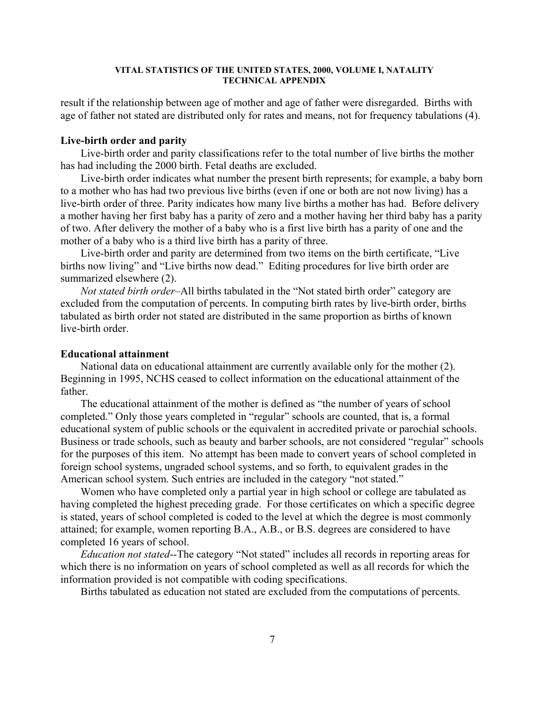result if the relationship between age of mother and age of father were disregarded. Births with age of father not stated are distributed only for rates and means, not for frequency tabulations (4).

# **Live-birth order and parity**

Live-birth order and parity classifications refer to the total number of live births the mother has had including the 2000 birth. Fetal deaths are excluded.

Live-birth order indicates what number the present birth represents; for example, a baby born to a mother who has had two previous live births (even if one or both are not now living) has a live-birth order of three. Parity indicates how many live births a mother has had. Before delivery a mother having her first baby has a parity of zero and a mother having her third baby has a parity of two. After delivery the mother of a baby who is a first live birth has a parity of one and the mother of a baby who is a third live birth has a parity of three.

Live-birth order and parity are determined from two items on the birth certificate, "Live births now living" and "Live births now dead." Editing procedures for live birth order are summarized elsewhere (2).

*Not stated birth order*–All births tabulated in the "Not stated birth order" category are excluded from the computation of percents. In computing birth rates by live-birth order, births tabulated as birth order not stated are distributed in the same proportion as births of known live-birth order

# **Educational attainment**

National data on educational attainment are currently available only for the mother (2). Beginning in 1995, NCHS ceased to collect information on the educational attainment of the father.

The educational attainment of the mother is defined as "the number of years of school completed." Only those years completed in "regular" schools are counted, that is, a formal educational system of public schools or the equivalent in accredited private or parochial schools. Business or trade schools, such as beauty and barber schools, are not considered "regular" schools for the purposes of this item. No attempt has been made to convert years of school completed in foreign school systems, ungraded school systems, and so forth, to equivalent grades in the American school system. Such entries are included in the category "not stated."

Women who have completed only a partial year in high school or college are tabulated as having completed the highest preceding grade. For those certificates on which a specific degree is stated, years of school completed is coded to the level at which the degree is most commonly attained; for example, women reporting B.A., A.B., or B.S. degrees are considered to have completed 16 years of school.

*Education not stated*--The category "Not stated" includes all records in reporting areas for which there is no information on years of school completed as well as all records for which the information provided is not compatible with coding specifications.

Births tabulated as education not stated are excluded from the computations of percents.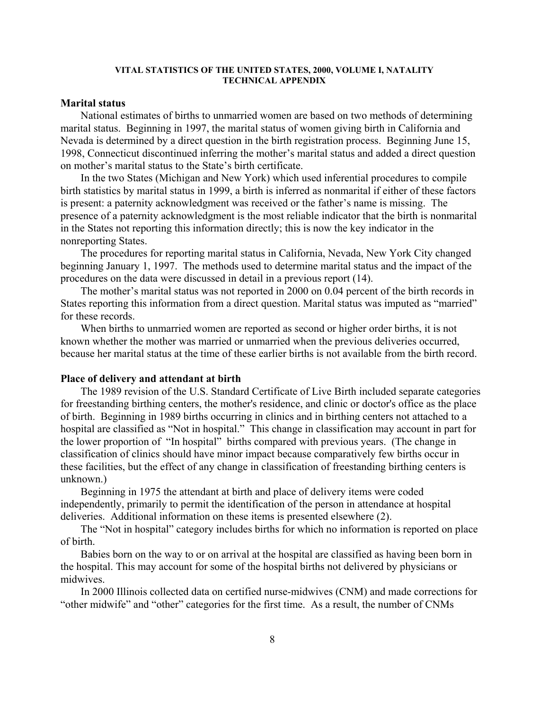# **Marital status**

National estimates of births to unmarried women are based on two methods of determining marital status. Beginning in 1997, the marital status of women giving birth in California and Nevada is determined by a direct question in the birth registration process. Beginning June 15, 1998, Connecticut discontinued inferring the mother's marital status and added a direct question on mother's marital status to the State's birth certificate.

In the two States (Michigan and New York) which used inferential procedures to compile birth statistics by marital status in 1999, a birth is inferred as nonmarital if either of these factors is present: a paternity acknowledgment was received or the father's name is missing. The presence of a paternity acknowledgment is the most reliable indicator that the birth is nonmarital in the States not reporting this information directly; this is now the key indicator in the nonreporting States.

The procedures for reporting marital status in California, Nevada, New York City changed beginning January 1, 1997. The methods used to determine marital status and the impact of the procedures on the data were discussed in detail in a previous report (14).

The mother's marital status was not reported in 2000 on 0.04 percent of the birth records in States reporting this information from a direct question. Marital status was imputed as "married" for these records.

When births to unmarried women are reported as second or higher order births, it is not known whether the mother was married or unmarried when the previous deliveries occurred, because her marital status at the time of these earlier births is not available from the birth record.

#### **Place of delivery and attendant at birth**

The 1989 revision of the U.S. Standard Certificate of Live Birth included separate categories for freestanding birthing centers, the mother's residence, and clinic or doctor's office as the place of birth. Beginning in 1989 births occurring in clinics and in birthing centers not attached to a hospital are classified as "Not in hospital." This change in classification may account in part for the lower proportion of "In hospital" births compared with previous years. (The change in classification of clinics should have minor impact because comparatively few births occur in these facilities, but the effect of any change in classification of freestanding birthing centers is unknown.)

Beginning in 1975 the attendant at birth and place of delivery items were coded independently, primarily to permit the identification of the person in attendance at hospital deliveries. Additional information on these items is presented elsewhere (2).

The "Not in hospital" category includes births for which no information is reported on place of birth.

Babies born on the way to or on arrival at the hospital are classified as having been born in the hospital. This may account for some of the hospital births not delivered by physicians or midwives.

In 2000 Illinois collected data on certified nurse-midwives (CNM) and made corrections for "other midwife" and "other" categories for the first time. As a result, the number of CNMs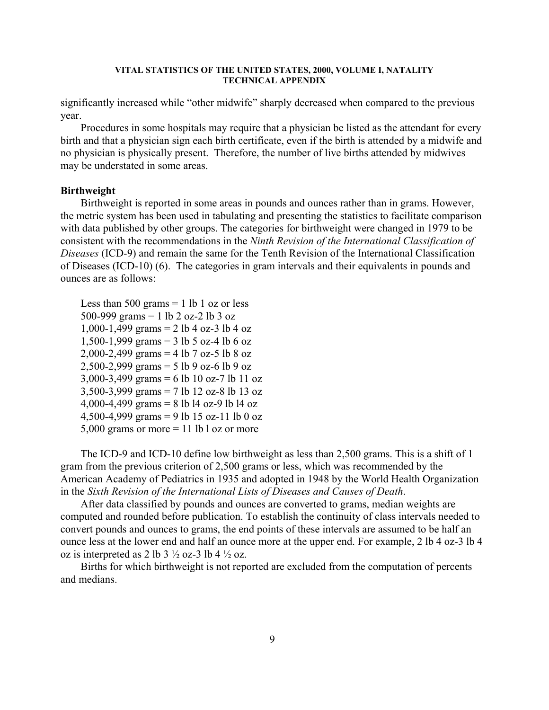significantly increased while "other midwife" sharply decreased when compared to the previous year.

Procedures in some hospitals may require that a physician be listed as the attendant for every birth and that a physician sign each birth certificate, even if the birth is attended by a midwife and no physician is physically present. Therefore, the number of live births attended by midwives may be understated in some areas.

#### **Birthweight**

Birthweight is reported in some areas in pounds and ounces rather than in grams. However, the metric system has been used in tabulating and presenting the statistics to facilitate comparison with data published by other groups. The categories for birthweight were changed in 1979 to be consistent with the recommendations in the *Ninth Revision of the International Classification of Diseases* (ICD-9) and remain the same for the Tenth Revision of the International Classification of Diseases (ICD-10) (6). The categories in gram intervals and their equivalents in pounds and ounces are as follows:

Less than 500 grams  $= 1$  lb 1 oz or less 500-999 grams = 1 lb 2 oz-2 lb 3 oz 1,000-1,499 grams = 2 lb 4 oz-3 lb 4 oz 1,500-1,999 grams = 3 lb 5 oz-4 lb 6 oz 2,000-2,499 grams = 4 lb 7 oz-5 lb 8 oz 2,500-2,999 grams = 5 lb 9 oz-6 lb 9 oz 3,000-3,499 grams = 6 lb 10 oz-7 lb 11 oz 3,500-3,999 grams = 7 lb 12 oz-8 lb 13 oz 4,000-4,499 grams = 8 lb l4 oz-9 lb l4 oz 4,500-4,999 grams = 9 lb 15 oz-11 lb 0 oz 5,000 grams or more  $= 11$  lb l oz or more

The ICD-9 and ICD-10 define low birthweight as less than 2,500 grams. This is a shift of 1 gram from the previous criterion of 2,500 grams or less, which was recommended by the American Academy of Pediatrics in 1935 and adopted in 1948 by the World Health Organization in the *Sixth Revision of the International Lists of Diseases and Causes of Death*.

After data classified by pounds and ounces are converted to grams, median weights are computed and rounded before publication. To establish the continuity of class intervals needed to convert pounds and ounces to grams, the end points of these intervals are assumed to be half an ounce less at the lower end and half an ounce more at the upper end. For example, 2 lb 4 oz-3 lb 4 oz is interpreted as 2 lb  $3\frac{1}{2}$  oz-3 lb  $4\frac{1}{2}$  oz.

Births for which birthweight is not reported are excluded from the computation of percents and medians.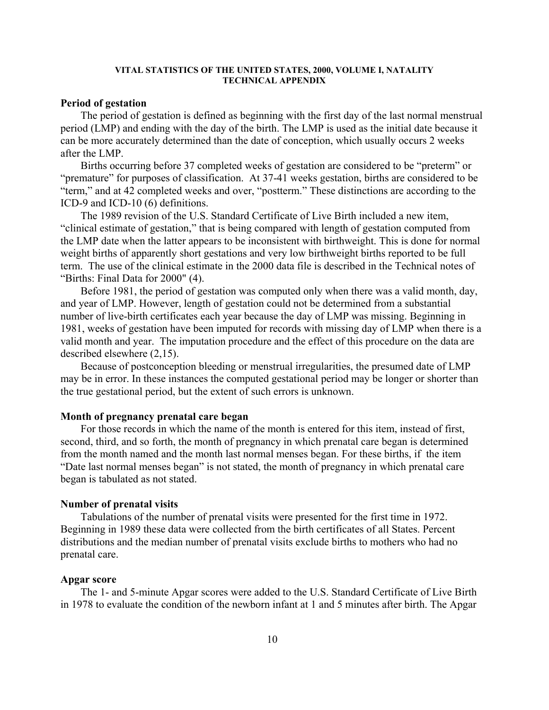# **Period of gestation**

The period of gestation is defined as beginning with the first day of the last normal menstrual period (LMP) and ending with the day of the birth. The LMP is used as the initial date because it can be more accurately determined than the date of conception, which usually occurs 2 weeks after the LMP.

Births occurring before 37 completed weeks of gestation are considered to be "preterm" or "premature" for purposes of classification. At 37-41 weeks gestation, births are considered to be "term," and at 42 completed weeks and over, "postterm." These distinctions are according to the ICD-9 and ICD-10 (6) definitions.

The 1989 revision of the U.S. Standard Certificate of Live Birth included a new item, "clinical estimate of gestation," that is being compared with length of gestation computed from the LMP date when the latter appears to be inconsistent with birthweight. This is done for normal weight births of apparently short gestations and very low birthweight births reported to be full term. The use of the clinical estimate in the 2000 data file is described in the Technical notes of "Births: Final Data for 2000" (4).

Before 1981, the period of gestation was computed only when there was a valid month, day, and year of LMP. However, length of gestation could not be determined from a substantial number of live-birth certificates each year because the day of LMP was missing. Beginning in 1981, weeks of gestation have been imputed for records with missing day of LMP when there is a valid month and year. The imputation procedure and the effect of this procedure on the data are described elsewhere (2,15).

Because of postconception bleeding or menstrual irregularities, the presumed date of LMP may be in error. In these instances the computed gestational period may be longer or shorter than the true gestational period, but the extent of such errors is unknown.

# **Month of pregnancy prenatal care began**

For those records in which the name of the month is entered for this item, instead of first, second, third, and so forth, the month of pregnancy in which prenatal care began is determined from the month named and the month last normal menses began. For these births, if the item "Date last normal menses began" is not stated, the month of pregnancy in which prenatal care began is tabulated as not stated.

# **Number of prenatal visits**

Tabulations of the number of prenatal visits were presented for the first time in 1972. Beginning in 1989 these data were collected from the birth certificates of all States. Percent distributions and the median number of prenatal visits exclude births to mothers who had no prenatal care.

# **Apgar score**

The 1- and 5-minute Apgar scores were added to the U.S. Standard Certificate of Live Birth in 1978 to evaluate the condition of the newborn infant at 1 and 5 minutes after birth. The Apgar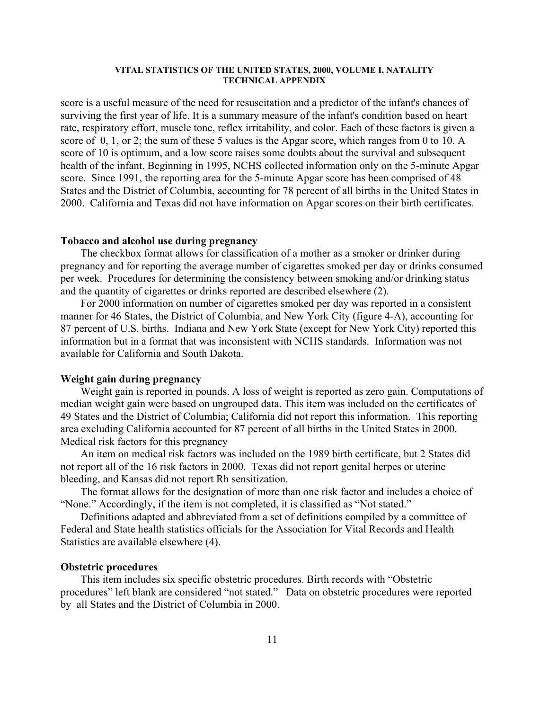score is a useful measure of the need for resuscitation and a predictor of the infant's chances of surviving the first year of life. It is a summary measure of the infant's condition based on heart rate, respiratory effort, muscle tone, reflex irritability, and color. Each of these factors is given a score of 0, 1, or 2; the sum of these 5 values is the Apgar score, which ranges from 0 to 10. A score of 10 is optimum, and a low score raises some doubts about the survival and subsequent health of the infant. Beginning in 1995, NCHS collected information only on the 5-minute Apgar score. Since 1991, the reporting area for the 5-minute Apgar score has been comprised of 48 States and the District of Columbia, accounting for 78 percent of all births in the United States in 2000. California and Texas did not have information on Apgar scores on their birth certificates.

# **Tobacco and alcohol use during pregnancy**

The checkbox format allows for classification of a mother as a smoker or drinker during pregnancy and for reporting the average number of cigarettes smoked per day or drinks consumed per week. Procedures for determining the consistency between smoking and/or drinking status and the quantity of cigarettes or drinks reported are described elsewhere (2).

For 2000 information on number of cigarettes smoked per day was reported in a consistent manner for 46 States, the District of Columbia, and New York City (figure 4-A), accounting for 87 percent of U.S. births. Indiana and New York State (except for New York City) reported this information but in a format that was inconsistent with NCHS standards. Information was not available for California and South Dakota.

# **Weight gain during pregnancy**

Weight gain is reported in pounds. A loss of weight is reported as zero gain. Computations of median weight gain were based on ungrouped data. This item was included on the certificates of 49 States and the District of Columbia; California did not report this information. This reporting area excluding California accounted for 87 percent of all births in the United States in 2000. Medical risk factors for this pregnancy

An item on medical risk factors was included on the 1989 birth certificate, but 2 States did not report all of the 16 risk factors in 2000. Texas did not report genital herpes or uterine bleeding, and Kansas did not report Rh sensitization.

The format allows for the designation of more than one risk factor and includes a choice of "None." Accordingly, if the item is not completed, it is classified as "Not stated."

Definitions adapted and abbreviated from a set of definitions compiled by a committee of Federal and State health statistics officials for the Association for Vital Records and Health Statistics are available elsewhere (4).

# **Obstetric procedures**

This item includes six specific obstetric procedures. Birth records with "Obstetric procedures" left blank are considered "not stated." Data on obstetric procedures were reported by all States and the District of Columbia in 2000.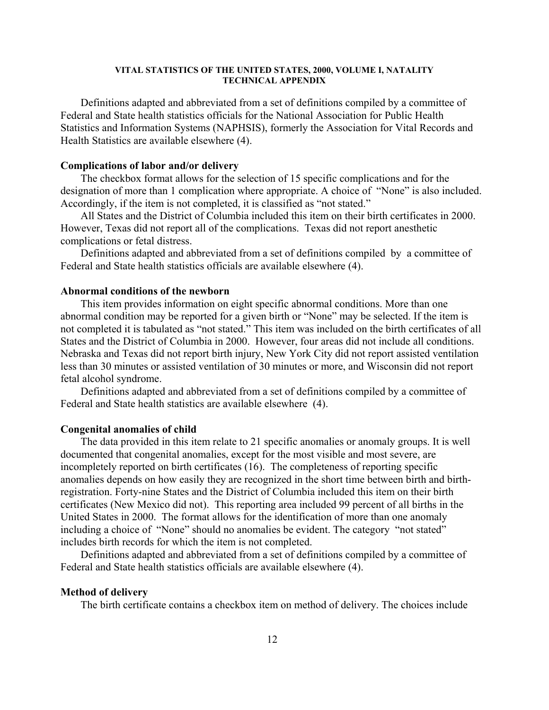Definitions adapted and abbreviated from a set of definitions compiled by a committee of Federal and State health statistics officials for the National Association for Public Health Statistics and Information Systems (NAPHSIS), formerly the Association for Vital Records and Health Statistics are available elsewhere (4).

# **Complications of labor and/or delivery**

The checkbox format allows for the selection of 15 specific complications and for the designation of more than 1 complication where appropriate. A choice of "None" is also included. Accordingly, if the item is not completed, it is classified as "not stated."

All States and the District of Columbia included this item on their birth certificates in 2000. However, Texas did not report all of the complications. Texas did not report anesthetic complications or fetal distress.

Definitions adapted and abbreviated from a set of definitions compiled by a committee of Federal and State health statistics officials are available elsewhere (4).

# **Abnormal conditions of the newborn**

This item provides information on eight specific abnormal conditions. More than one abnormal condition may be reported for a given birth or "None" may be selected. If the item is not completed it is tabulated as "not stated." This item was included on the birth certificates of all States and the District of Columbia in 2000. However, four areas did not include all conditions. Nebraska and Texas did not report birth injury, New York City did not report assisted ventilation less than 30 minutes or assisted ventilation of 30 minutes or more, and Wisconsin did not report fetal alcohol syndrome.

Definitions adapted and abbreviated from a set of definitions compiled by a committee of Federal and State health statistics are available elsewhere (4).

# **Congenital anomalies of child**

The data provided in this item relate to 21 specific anomalies or anomaly groups. It is well documented that congenital anomalies, except for the most visible and most severe, are incompletely reported on birth certificates (16). The completeness of reporting specific anomalies depends on how easily they are recognized in the short time between birth and birthregistration. Forty-nine States and the District of Columbia included this item on their birth certificates (New Mexico did not). This reporting area included 99 percent of all births in the United States in 2000. The format allows for the identification of more than one anomaly including a choice of "None" should no anomalies be evident. The category "not stated" includes birth records for which the item is not completed.

Definitions adapted and abbreviated from a set of definitions compiled by a committee of Federal and State health statistics officials are available elsewhere (4).

# **Method of delivery**

The birth certificate contains a checkbox item on method of delivery. The choices include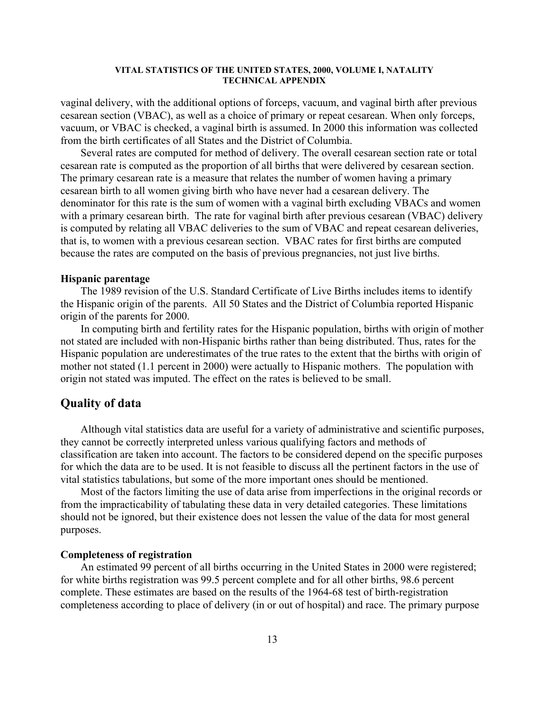vaginal delivery, with the additional options of forceps, vacuum, and vaginal birth after previous cesarean section (VBAC), as well as a choice of primary or repeat cesarean. When only forceps, vacuum, or VBAC is checked, a vaginal birth is assumed. In 2000 this information was collected from the birth certificates of all States and the District of Columbia.

Several rates are computed for method of delivery. The overall cesarean section rate or total cesarean rate is computed as the proportion of all births that were delivered by cesarean section. The primary cesarean rate is a measure that relates the number of women having a primary cesarean birth to all women giving birth who have never had a cesarean delivery. The denominator for this rate is the sum of women with a vaginal birth excluding VBACs and women with a primary cesarean birth. The rate for vaginal birth after previous cesarean (VBAC) delivery is computed by relating all VBAC deliveries to the sum of VBAC and repeat cesarean deliveries, that is, to women with a previous cesarean section. VBAC rates for first births are computed because the rates are computed on the basis of previous pregnancies, not just live births.

# **Hispanic parentage**

The 1989 revision of the U.S. Standard Certificate of Live Births includes items to identify the Hispanic origin of the parents. All 50 States and the District of Columbia reported Hispanic origin of the parents for 2000.

In computing birth and fertility rates for the Hispanic population, births with origin of mother not stated are included with non-Hispanic births rather than being distributed. Thus, rates for the Hispanic population are underestimates of the true rates to the extent that the births with origin of mother not stated (1.1 percent in 2000) were actually to Hispanic mothers. The population with origin not stated was imputed. The effect on the rates is believed to be small.

# **Quality of data**

Although vital statistics data are useful for a variety of administrative and scientific purposes, they cannot be correctly interpreted unless various qualifying factors and methods of classification are taken into account. The factors to be considered depend on the specific purposes for which the data are to be used. It is not feasible to discuss all the pertinent factors in the use of vital statistics tabulations, but some of the more important ones should be mentioned.

Most of the factors limiting the use of data arise from imperfections in the original records or from the impracticability of tabulating these data in very detailed categories. These limitations should not be ignored, but their existence does not lessen the value of the data for most general purposes.

# **Completeness of registration**

An estimated 99 percent of all births occurring in the United States in 2000 were registered; for white births registration was 99.5 percent complete and for all other births, 98.6 percent complete. These estimates are based on the results of the 1964-68 test of birth-registration completeness according to place of delivery (in or out of hospital) and race. The primary purpose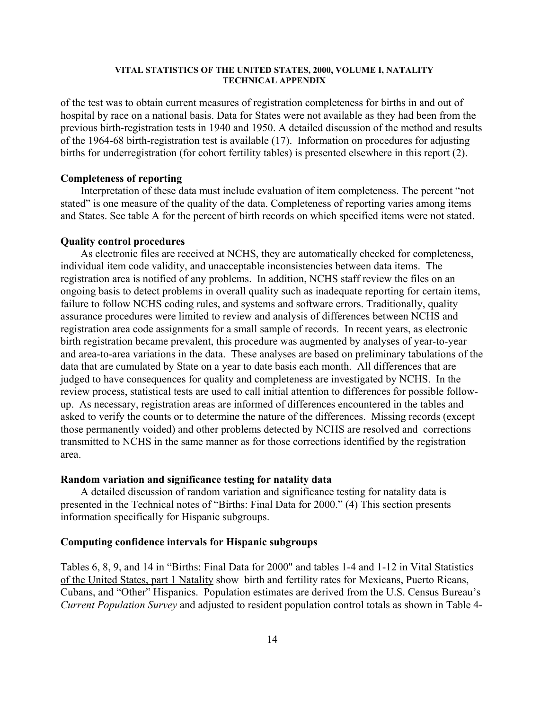of the test was to obtain current measures of registration completeness for births in and out of hospital by race on a national basis. Data for States were not available as they had been from the previous birth-registration tests in 1940 and 1950. A detailed discussion of the method and results of the 1964-68 birth-registration test is available (17). Information on procedures for adjusting births for underregistration (for cohort fertility tables) is presented elsewhere in this report (2).

## **Completeness of reporting**

Interpretation of these data must include evaluation of item completeness. The percent "not stated" is one measure of the quality of the data. Completeness of reporting varies among items and States. See table A for the percent of birth records on which specified items were not stated.

#### **Quality control procedures**

As electronic files are received at NCHS, they are automatically checked for completeness, individual item code validity, and unacceptable inconsistencies between data items. The registration area is notified of any problems. In addition, NCHS staff review the files on an ongoing basis to detect problems in overall quality such as inadequate reporting for certain items, failure to follow NCHS coding rules, and systems and software errors. Traditionally, quality assurance procedures were limited to review and analysis of differences between NCHS and registration area code assignments for a small sample of records. In recent years, as electronic birth registration became prevalent, this procedure was augmented by analyses of year-to-year and area-to-area variations in the data. These analyses are based on preliminary tabulations of the data that are cumulated by State on a year to date basis each month. All differences that are judged to have consequences for quality and completeness are investigated by NCHS. In the review process, statistical tests are used to call initial attention to differences for possible followup. As necessary, registration areas are informed of differences encountered in the tables and asked to verify the counts or to determine the nature of the differences. Missing records (except those permanently voided) and other problems detected by NCHS are resolved and corrections transmitted to NCHS in the same manner as for those corrections identified by the registration area.

# **Random variation and significance testing for natality data**

A detailed discussion of random variation and significance testing for natality data is presented in the Technical notes of "Births: Final Data for 2000." (4) This section presents information specifically for Hispanic subgroups.

# **Computing confidence intervals for Hispanic subgroups**

Tables 6, 8, 9, and 14 in "Births: Final Data for 2000" and tables 1-4 and 1-12 in Vital Statistics of the United States, part 1 Natality show birth and fertility rates for Mexicans, Puerto Ricans, Cubans, and "Other" Hispanics. Population estimates are derived from the U.S. Census Bureau's *Current Population Survey* and adjusted to resident population control totals as shown in Table 4-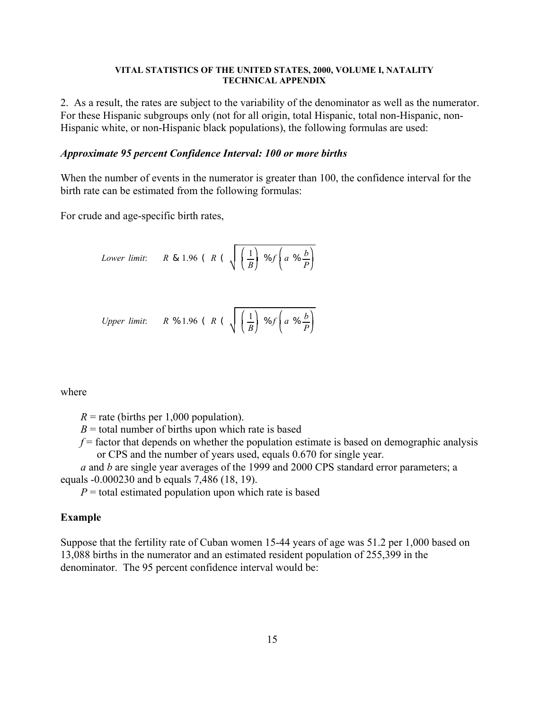2. As a result, the rates are subject to the variability of the denominator as well as the numerator. For these Hispanic subgroups only (not for all origin, total Hispanic, total non-Hispanic, non-Hispanic white, or non-Hispanic black populations), the following formulas are used:

# *Approximate 95 percent Confidence Interval: 100 or more births*

When the number of events in the numerator is greater than 100, the confidence interval for the birth rate can be estimated from the following formulas:

For crude and age-specific birth rates,

Lower limit: 
$$
R \& 1.96
$$
 ( $R \left(\sqrt{\frac{1}{B}}\right) \% f \left(a \% \frac{b}{P}\right)$ 

Upper limit: 
$$
R \%
$$
 1.96 ( $R \left(\sqrt{\frac{1}{B}}\right) \%$   $f\left(a \%$   $\frac{b}{P}\right)$ 

where

 $R$  = rate (births per 1,000 population).

 $B =$  total number of births upon which rate is based

 $f$  = factor that depends on whether the population estimate is based on demographic analysis or CPS and the number of years used, equals 0.670 for single year.

*a* and *b* are single year averages of the 1999 and 2000 CPS standard error parameters; a equals -0.000230 and b equals 7,486 (18, 19).

 $P =$  total estimated population upon which rate is based

# **Example**

Suppose that the fertility rate of Cuban women 15-44 years of age was 51.2 per 1,000 based on 13,088 births in the numerator and an estimated resident population of 255,399 in the denominator. The 95 percent confidence interval would be: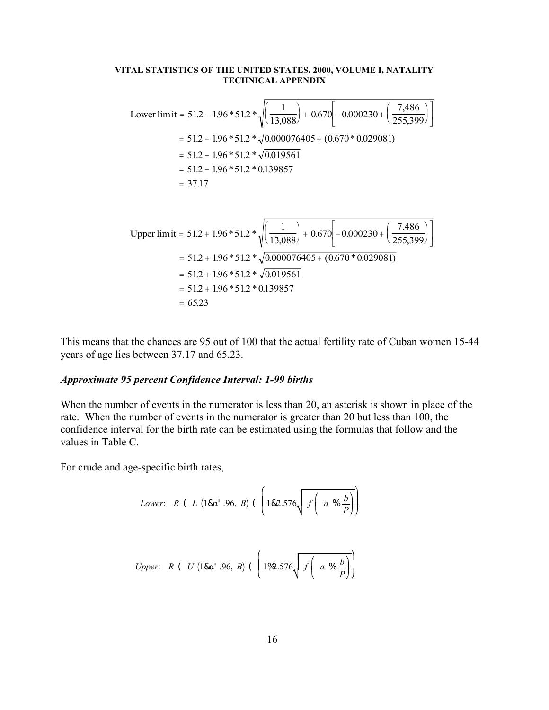Lower limit = 51.2 - 1.96 \* 51.2 \* 
$$
\sqrt{\left(\frac{1}{13,088}\right) + 0.670 \left[ -0.000230 + \left(\frac{7,486}{255,399}\right) \right]}
$$
  
\n= 51.2 - 1.96 \* 51.2 \*  $\sqrt{0.000076405 + (0.670 * 0.029081)}$   
\n= 51.2 - 1.96 \* 51.2 \*  $\sqrt{0.019561}$   
\n= 51.2 - 1.96 \* 51.2 \* 0.139857  
\n= 37.17  
\nUpper limit = 51.2 + 1.96 \* 51.2 \*  $\sqrt{\left(\frac{1}{13,088}\right) + 0.670 \left[ -0.000230 + \left(\frac{7,486}{255,399}\right) \right]}$ 

Upper limit = 
$$
51.2 + 1.96 * 51.2 * \sqrt{\frac{1}{13,088}} + 0.670 \left[ -0.000230 + \left( \frac{7,100}{255,399} \right) \right]
$$
  
\n=  $51.2 + 1.96 * 51.2 * \sqrt{0.000076405 + (0.670 * 0.029081)}$   
\n=  $51.2 + 1.96 * 51.2 * \sqrt{0.019561}$   
\n=  $51.2 + 1.96 * 51.2 * 0.139857$   
\n=  $65.23$ 

This means that the chances are 95 out of 100 that the actual fertility rate of Cuban women 15-44 years of age lies between 37.17 and 65.23.

# *Approximate 95 percent Confidence Interval: 1-99 births*

When the number of events in the numerator is less than 20, an asterisk is shown in place of the rate. When the number of events in the numerator is greater than 20 but less than 100, the confidence interval for the birth rate can be estimated using the formulas that follow and the values in Table C.

For crude and age-specific birth rates,

Lower: 
$$
R
$$
 ( $L$  (1& $\alpha'$ .96,  $B$ ) ( $\left(182.576\sqrt{f\left(a\% \frac{b}{P}\right)}\right)$ 

*Upper*: 
$$
R
$$
 ( $U$  (18 $\alpha$ <sup>1</sup> .96,  $B$ ) ( $\left(1\%\frac{.576}{f}\left(a\%\frac{b}{P}\right)\right)$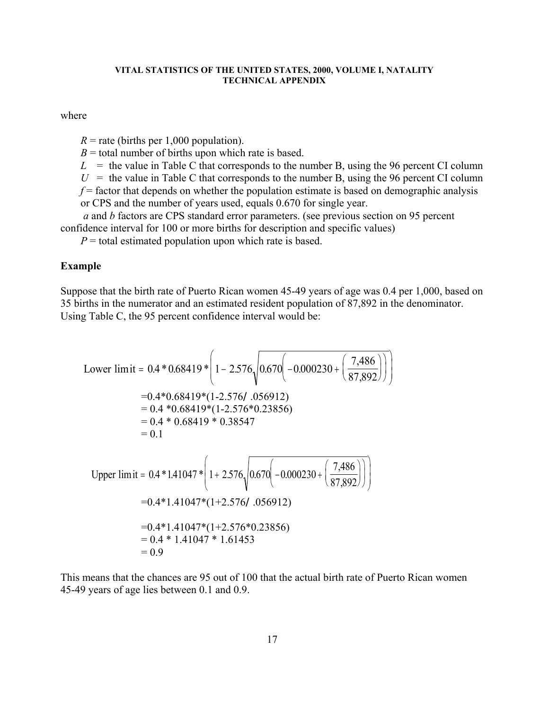where

 $R$  = rate (births per 1,000 population).

 $B =$  total number of births upon which rate is based.

 $L =$  the value in Table C that corresponds to the number B, using the 96 percent CI column

 $U =$  the value in Table C that corresponds to the number B, using the 96 percent CI column

 $f$  = factor that depends on whether the population estimate is based on demographic analysis

or CPS and the number of years used, equals 0.670 for single year.

*a* and *b* factors are CPS standard error parameters. (see previous section on 95 percent confidence interval for 100 or more births for description and specific values)

 $P =$  total estimated population upon which rate is based.

# **Example**

Suppose that the birth rate of Puerto Rican women 45-49 years of age was 0.4 per 1,000, based on 35 births in the numerator and an estimated resident population of 87,892 in the denominator. Using Table C, the 95 percent confidence interval would be:

Lower limit = 0.4 \* 0.68419 \* 
$$
\left(1 - 2.576\sqrt{0.670\left(-0.000230 + \left(\frac{7,486}{87,892}\right)\right)}\right)
$$
  
\n= 0.4 \* 0.68419 \* (1-2.576/.056912)  
\n= 0.4 \* 0.68419 \* (1-2.576\*0.23856)  
\n= 0.4 \* 0.68419 \* 0.38547  
\n= 0.1  
\nUpper limit = 0.4 \* 1.41047 \*  $\left(1 + 2.576\sqrt{0.670\left(-0.000230 + \left(\frac{7,486}{87,892}\right)\right)}\right)$   
\n= 0.4 \* 1.41047 \* (1+2.576/.056912)  
\n= 0.4 \* 1.41047 \* (1+2.576\*0.23856)  
\n= 0.4 \* 1.41047 \* 1.61453  
\n= 0.9

This means that the chances are 95 out of 100 that the actual birth rate of Puerto Rican women 45-49 years of age lies between 0.1 and 0.9.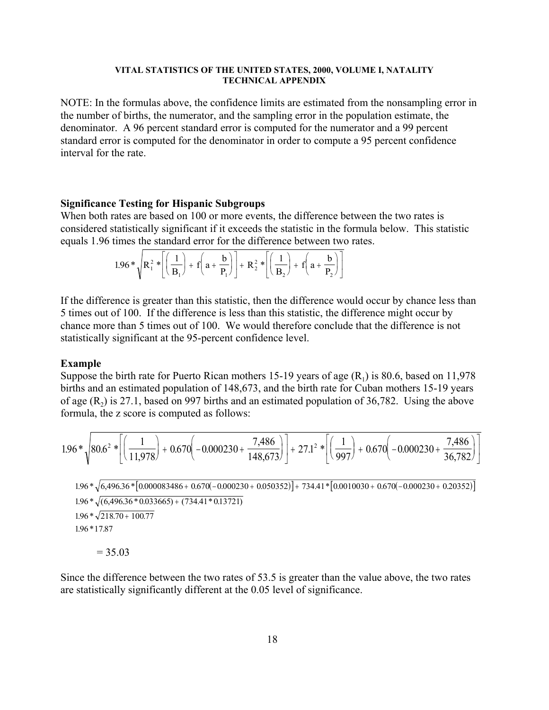NOTE: In the formulas above, the confidence limits are estimated from the nonsampling error in the number of births, the numerator, and the sampling error in the population estimate, the denominator. A 96 percent standard error is computed for the numerator and a 99 percent standard error is computed for the denominator in order to compute a 95 percent confidence interval for the rate.

# **Significance Testing for Hispanic Subgroups**

When both rates are based on 100 or more events, the difference between the two rates is considered statistically significant if it exceeds the statistic in the formula below. This statistic equals 1.96 times the standard error for the difference between two rates.

$$
1.96 * \sqrt{R_1^2 * \left[ \left( \frac{1}{B_1} \right) + f \left( a + \frac{b}{P_1} \right) \right]} + R_2^2 * \left[ \left( \frac{1}{B_2} \right) + f \left( a + \frac{b}{P_2} \right) \right]
$$

If the difference is greater than this statistic, then the difference would occur by chance less than 5 times out of 100. If the difference is less than this statistic, the difference might occur by chance more than 5 times out of 100. We would therefore conclude that the difference is not statistically significant at the 95-percent confidence level.

#### **Example**

Suppose the birth rate for Puerto Rican mothers 15-19 years of age  $(R_1)$  is 80.6, based on 11,978 births and an estimated population of 148,673, and the birth rate for Cuban mothers 15-19 years of age  $(R_2)$  is 27.1, based on 997 births and an estimated population of 36,782. Using the above formula, the z score is computed as follows:

$$
1.96*\sqrt{80.6^2*\left[\left(\frac{1}{11,978}\right)+0.670\left(-0.000230+\frac{7,486}{148,673}\right)\right]}+27.1^2*\left[\left(\frac{1}{997}\right)+0.670\left(-0.000230+\frac{7,486}{36,782}\right)\right]
$$

 $1.96 * \sqrt{(6,496.36 * 0.033665) + (734.41 * 0.13721)}$  $1.96 * \sqrt{218.70} + 100.77$  $1.96*\sqrt{6,496.36*|0.000083486+0.670(-0.000230+0.050352)}+734.41*|0.0010030+0.670(-0.000230+0.20352)}$ 196 . \*17.87

 $= 35.03$ 

Since the difference between the two rates of 53.5 is greater than the value above, the two rates are statistically significantly different at the 0.05 level of significance.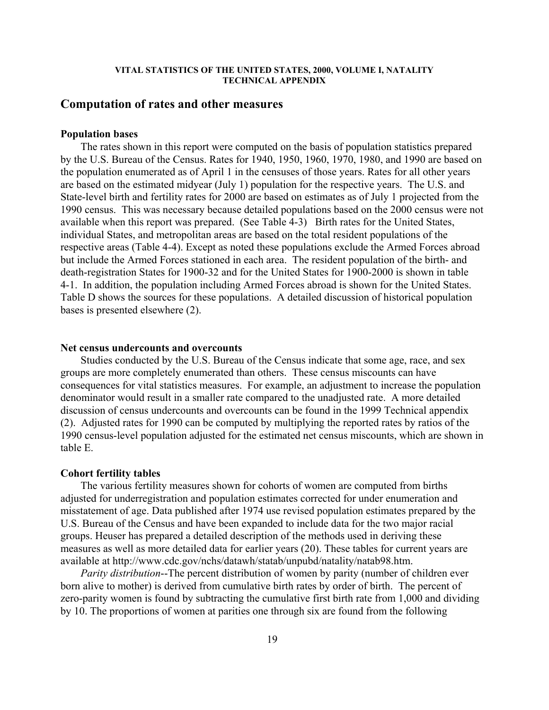# **Computation of rates and other measures**

# **Population bases**

The rates shown in this report were computed on the basis of population statistics prepared by the U.S. Bureau of the Census. Rates for 1940, 1950, 1960, 1970, 1980, and 1990 are based on the population enumerated as of April 1 in the censuses of those years. Rates for all other years are based on the estimated midyear (July 1) population for the respective years. The U.S. and State-level birth and fertility rates for 2000 are based on estimates as of July 1 projected from the 1990 census. This was necessary because detailed populations based on the 2000 census were not available when this report was prepared. (See Table 4-3) Birth rates for the United States, individual States, and metropolitan areas are based on the total resident populations of the respective areas (Table 4-4). Except as noted these populations exclude the Armed Forces abroad but include the Armed Forces stationed in each area. The resident population of the birth- and death-registration States for 1900-32 and for the United States for 1900-2000 is shown in table 4-1. In addition, the population including Armed Forces abroad is shown for the United States. Table D shows the sources for these populations. A detailed discussion of historical population bases is presented elsewhere (2).

# **Net census undercounts and overcounts**

Studies conducted by the U.S. Bureau of the Census indicate that some age, race, and sex groups are more completely enumerated than others. These census miscounts can have consequences for vital statistics measures. For example, an adjustment to increase the population denominator would result in a smaller rate compared to the unadjusted rate. A more detailed discussion of census undercounts and overcounts can be found in the 1999 Technical appendix (2). Adjusted rates for 1990 can be computed by multiplying the reported rates by ratios of the 1990 census-level population adjusted for the estimated net census miscounts, which are shown in table E.

#### **Cohort fertility tables**

The various fertility measures shown for cohorts of women are computed from births adjusted for underregistration and population estimates corrected for under enumeration and misstatement of age. Data published after 1974 use revised population estimates prepared by the U.S. Bureau of the Census and have been expanded to include data for the two major racial groups. Heuser has prepared a detailed description of the methods used in deriving these measures as well as more detailed data for earlier years (20). These tables for current years are available at http://www.cdc.gov/nchs/datawh/statab/unpubd/natality/natab98.htm.

*Parity distribution*--The percent distribution of women by parity (number of children ever born alive to mother) is derived from cumulative birth rates by order of birth. The percent of zero-parity women is found by subtracting the cumulative first birth rate from 1,000 and dividing by 10. The proportions of women at parities one through six are found from the following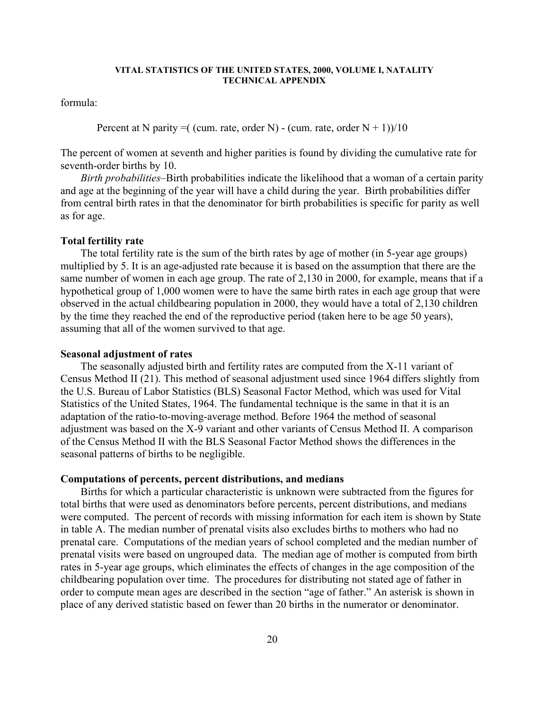formula:

Percent at N parity =  $($  (cum. rate, order N) - (cum. rate, order N + 1)) $/10$ 

The percent of women at seventh and higher parities is found by dividing the cumulative rate for seventh-order births by 10.

*Birth probabilities*–Birth probabilities indicate the likelihood that a woman of a certain parity and age at the beginning of the year will have a child during the year. Birth probabilities differ from central birth rates in that the denominator for birth probabilities is specific for parity as well as for age.

# **Total fertility rate**

The total fertility rate is the sum of the birth rates by age of mother (in 5-year age groups) multiplied by 5. It is an age-adjusted rate because it is based on the assumption that there are the same number of women in each age group. The rate of 2,130 in 2000, for example, means that if a hypothetical group of 1,000 women were to have the same birth rates in each age group that were observed in the actual childbearing population in 2000, they would have a total of 2,130 children by the time they reached the end of the reproductive period (taken here to be age 50 years), assuming that all of the women survived to that age.

## **Seasonal adjustment of rates**

The seasonally adjusted birth and fertility rates are computed from the X-11 variant of Census Method II (21). This method of seasonal adjustment used since 1964 differs slightly from the U.S. Bureau of Labor Statistics (BLS) Seasonal Factor Method, which was used for Vital Statistics of the United States, 1964. The fundamental technique is the same in that it is an adaptation of the ratio-to-moving-average method. Before 1964 the method of seasonal adjustment was based on the X-9 variant and other variants of Census Method II. A comparison of the Census Method II with the BLS Seasonal Factor Method shows the differences in the seasonal patterns of births to be negligible.

# **Computations of percents, percent distributions, and medians**

Births for which a particular characteristic is unknown were subtracted from the figures for total births that were used as denominators before percents, percent distributions, and medians were computed. The percent of records with missing information for each item is shown by State in table A. The median number of prenatal visits also excludes births to mothers who had no prenatal care. Computations of the median years of school completed and the median number of prenatal visits were based on ungrouped data. The median age of mother is computed from birth rates in 5-year age groups, which eliminates the effects of changes in the age composition of the childbearing population over time. The procedures for distributing not stated age of father in order to compute mean ages are described in the section "age of father." An asterisk is shown in place of any derived statistic based on fewer than 20 births in the numerator or denominator.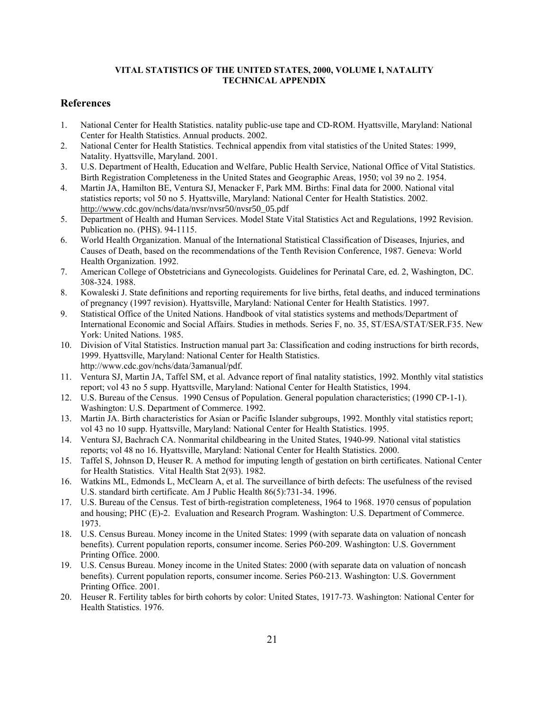# **References**

- 1. National Center for Health Statistics. natality public-use tape and CD-ROM. Hyattsville, Maryland: National Center for Health Statistics. Annual products. 2002.
- 2. National Center for Health Statistics. Technical appendix from vital statistics of the United States: 1999, Natality. Hyattsville, Maryland. 2001.
- 3. U.S. Department of Health, Education and Welfare, Public Health Service, National Office of Vital Statistics. Birth Registration Completeness in the United States and Geographic Areas, 1950; vol 39 no 2. 1954.
- 4. Martin JA, Hamilton BE, Ventura SJ, Menacker F, Park MM. Births: Final data for 2000. National vital statistics reports; vol 50 no 5. Hyattsville, Maryland: National Center for Health Statistics. 2002. http://www.cdc.gov/nchs/data/nvsr/nvsr50/nvsr50\_05.pdf
- 5. Department of Health and Human Services. Model State Vital Statistics Act and Regulations, 1992 Revision. Publication no. (PHS). 94-1115.
- 6. World Health Organization. Manual of the International Statistical Classification of Diseases, Injuries, and Causes of Death, based on the recommendations of the Tenth Revision Conference, 1987. Geneva: World Health Organization. 1992.
- 7. American College of Obstetricians and Gynecologists. Guidelines for Perinatal Care, ed. 2, Washington, DC. 308-324. 1988.
- 8. Kowaleski J. State definitions and reporting requirements for live births, fetal deaths, and induced terminations of pregnancy (1997 revision). Hyattsville, Maryland: National Center for Health Statistics. 1997.
- 9. Statistical Office of the United Nations. Handbook of vital statistics systems and methods/Department of International Economic and Social Affairs. Studies in methods. Series F, no. 35, ST/ESA/STAT/SER.F35. New York: United Nations. 1985.
- 10. Division of Vital Statistics. Instruction manual part 3a: Classification and coding instructions for birth records, 1999. Hyattsville, Maryland: National Center for Health Statistics. http://www.cdc.gov/nchs/data/3amanual/pdf.
- 11. Ventura SJ, Martin JA, Taffel SM, et al. Advance report of final natality statistics, 1992. Monthly vital statistics report; vol 43 no 5 supp. Hyattsville, Maryland: National Center for Health Statistics, 1994.
- 12. U.S. Bureau of the Census. 1990 Census of Population. General population characteristics; (1990 CP-1-1). Washington: U.S. Department of Commerce. 1992.
- 13. Martin JA. Birth characteristics for Asian or Pacific Islander subgroups, 1992. Monthly vital statistics report; vol 43 no 10 supp. Hyattsville, Maryland: National Center for Health Statistics. 1995.
- 14. Ventura SJ, Bachrach CA. Nonmarital childbearing in the United States, 1940-99. National vital statistics reports; vol 48 no 16. Hyattsville, Maryland: National Center for Health Statistics. 2000.
- 15. Taffel S, Johnson D, Heuser R. A method for imputing length of gestation on birth certificates. National Center for Health Statistics. Vital Health Stat 2(93). 1982.
- 16. Watkins ML, Edmonds L, McClearn A, et al. The surveillance of birth defects: The usefulness of the revised U.S. standard birth certificate. Am J Public Health 86(5):731-34. 1996.
- 17. U.S. Bureau of the Census. Test of birth-registration completeness, 1964 to 1968. 1970 census of population and housing; PHC (E)-2. Evaluation and Research Program. Washington: U.S. Department of Commerce. 1973.
- 18. U.S. Census Bureau. Money income in the United States: 1999 (with separate data on valuation of noncash benefits). Current population reports, consumer income. Series P60-209. Washington: U.S. Government Printing Office. 2000.
- 19. U.S. Census Bureau. Money income in the United States: 2000 (with separate data on valuation of noncash benefits). Current population reports, consumer income. Series P60-213. Washington: U.S. Government Printing Office. 2001.
- 20. Heuser R. Fertility tables for birth cohorts by color: United States, 1917-73. Washington: National Center for Health Statistics. 1976.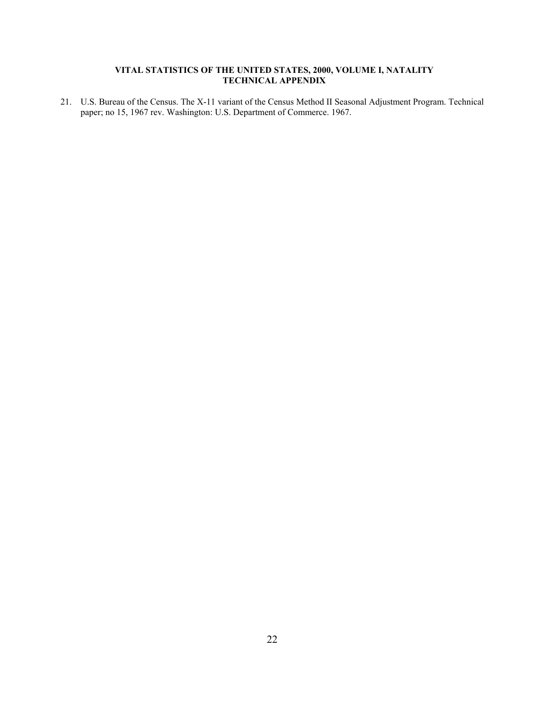21. U.S. Bureau of the Census. The X-11 variant of the Census Method II Seasonal Adjustment Program. Technical paper; no 15, 1967 rev. Washington: U.S. Department of Commerce. 1967.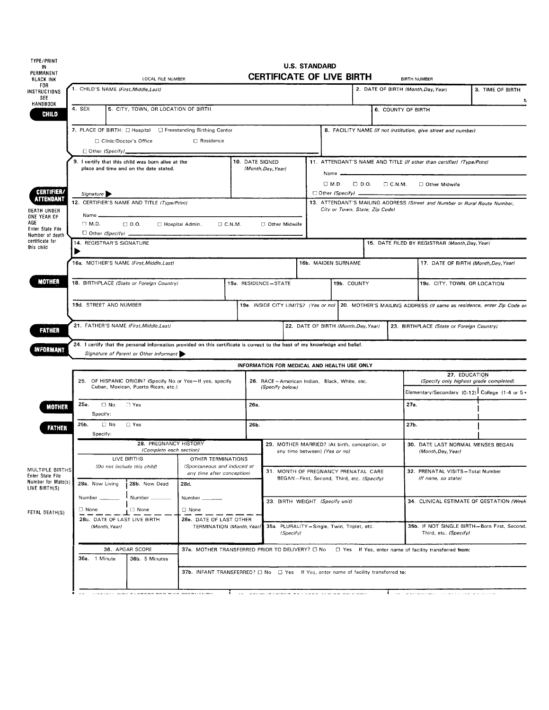| <b>TYPE/PRINT</b><br>IN.                         | <b>U.S. STANDARD</b>                                                                                                                                                  |                           |                                                                                                   |                                                                                              |                                                                 |                                                                                   |  |                                                                                                                                              |                                                                                                              |                                                                       |                                                                       |                                                               |  |
|--------------------------------------------------|-----------------------------------------------------------------------------------------------------------------------------------------------------------------------|---------------------------|---------------------------------------------------------------------------------------------------|----------------------------------------------------------------------------------------------|-----------------------------------------------------------------|-----------------------------------------------------------------------------------|--|----------------------------------------------------------------------------------------------------------------------------------------------|--------------------------------------------------------------------------------------------------------------|-----------------------------------------------------------------------|-----------------------------------------------------------------------|---------------------------------------------------------------|--|
| PERMANENT<br><b>BLACK INK</b>                    | <b>CERTIFICATE OF LIVE BIRTH</b><br>LOCAL FILE NUMBER                                                                                                                 |                           |                                                                                                   |                                                                                              |                                                                 |                                                                                   |  | <b>BIRTH NUMBER</b>                                                                                                                          |                                                                                                              |                                                                       |                                                                       |                                                               |  |
| FOR.<br>INSTRUCTIONS<br>SEE                      | 1. CHILD'S NAME (First, Middle, Last)                                                                                                                                 |                           |                                                                                                   |                                                                                              |                                                                 |                                                                                   |  | 2. DATE OF BIRTH (Month, Day, Year)                                                                                                          |                                                                                                              | 3. TIME OF BIRTH                                                      |                                                                       |                                                               |  |
| <b>HANDBOOK</b><br><b>CHILD</b>                  | 4. SEX<br>5. CITY, TOWN, OR LOCATION OF BIRTH                                                                                                                         |                           |                                                                                                   |                                                                                              |                                                                 |                                                                                   |  |                                                                                                                                              |                                                                                                              | 6. COUNTY OF BIRTH                                                    |                                                                       |                                                               |  |
|                                                  | 7. PLACE OF BIRTH: [ Hospital   C Freestanding Birthing Center<br>□ Residence<br>Clinic/Doctor's Office                                                               |                           |                                                                                                   |                                                                                              |                                                                 |                                                                                   |  |                                                                                                                                              |                                                                                                              |                                                                       | 8. FACILITY NAME (If not institution, give street and number)         |                                                               |  |
|                                                  |                                                                                                                                                                       |                           |                                                                                                   |                                                                                              |                                                                 |                                                                                   |  |                                                                                                                                              |                                                                                                              |                                                                       |                                                                       |                                                               |  |
|                                                  |                                                                                                                                                                       | □ Other (Specify)_        |                                                                                                   |                                                                                              |                                                                 |                                                                                   |  |                                                                                                                                              |                                                                                                              |                                                                       |                                                                       |                                                               |  |
|                                                  |                                                                                                                                                                       |                           | 9. I certify that this child was born alive at the<br>place and time and on the date stated.      |                                                                                              |                                                                 | 10. DATE SIGNED<br>(Month, Day, Year)                                             |  | Name __                                                                                                                                      |                                                                                                              |                                                                       | 11. ATTENDANT'S NAME AND TITLE (If other than certifier) (Type/Print) |                                                               |  |
| CERTIFIER/                                       |                                                                                                                                                                       |                           |                                                                                                   |                                                                                              |                                                                 |                                                                                   |  |                                                                                                                                              |                                                                                                              |                                                                       | □ M.D. □ D.O. □ C.N.M. □ Other Midwife                                |                                                               |  |
| <b>\TTENDANT</b><br><b>DEATH UNDER</b>           |                                                                                                                                                                       | Signature                 | 12. CERTIFIER'S NAME AND TITLE (Type/Print)                                                       |                                                                                              |                                                                 |                                                                                   |  | $\Box$ Other (Specify) $\Box$<br>13. ATTENDANT'S MAILING ADDRESS (Street and Number or Rural Route Number,<br>City or Town, State, Zip Code) |                                                                                                              |                                                                       |                                                                       |                                                               |  |
| ONE YEAR OF<br>AGE<br>Enter State File           | Name _<br>$\Box$ M.D.                                                                                                                                                 | $\Box$ Other (Specify) _  | $\Box$ D.O.<br>□ Hospital Admin.                                                                  |                                                                                              | $\Box$ C.N.M.                                                   | Other Midwife                                                                     |  |                                                                                                                                              |                                                                                                              |                                                                       |                                                                       |                                                               |  |
| Number of death<br>certificate for<br>this child |                                                                                                                                                                       | 14. REGISTRAR'S SIGNATURE |                                                                                                   |                                                                                              |                                                                 |                                                                                   |  |                                                                                                                                              |                                                                                                              |                                                                       | 15. DATE FILED BY REGISTRAR (Month, Day, Year)                        |                                                               |  |
|                                                  |                                                                                                                                                                       |                           | 16a. MOTHER'S NAME (First, Middle, Last)                                                          |                                                                                              |                                                                 |                                                                                   |  | 16b. MAIDEN SURNAME                                                                                                                          |                                                                                                              |                                                                       | 17. DATE OF BIRTH (Month, Day, Year)                                  |                                                               |  |
| MOTHER                                           |                                                                                                                                                                       |                           | 18. BIRTHPLACE (State or Foreign Country)                                                         |                                                                                              | 19a. RESIDENCE-STATE                                            |                                                                                   |  | 19b. COUNTY                                                                                                                                  |                                                                                                              |                                                                       | 19c CITY, TOWN, OR LOCATION                                           |                                                               |  |
|                                                  | 19d. STREET AND NUMBER                                                                                                                                                |                           |                                                                                                   |                                                                                              |                                                                 |                                                                                   |  |                                                                                                                                              | 19e. INSIDE CITY LIMITS? (Yes or no)   20. MOTHER'S MAILING ADDRESS (If same as residence, enter Zip Code on |                                                                       |                                                                       |                                                               |  |
| <b>FATHER</b>                                    | 21. FATHER'S NAME (First, Middle, Last)                                                                                                                               |                           |                                                                                                   |                                                                                              |                                                                 | 22. DATE OF BIRTH (Month, Day, Year)<br>23. BIRTHPLACE (State or Foreign Country) |  |                                                                                                                                              |                                                                                                              |                                                                       |                                                                       |                                                               |  |
| NFORMANT                                         | 24. I certify that the personal information provided on this certificate is correct to the best of my knowledge and belief.<br>Signature of Parent or Other Informant |                           |                                                                                                   |                                                                                              |                                                                 |                                                                                   |  |                                                                                                                                              |                                                                                                              |                                                                       |                                                                       |                                                               |  |
|                                                  | INFORMATION FOR MEDICAL AND HEALTH USE ONLY                                                                                                                           |                           |                                                                                                   |                                                                                              |                                                                 |                                                                                   |  |                                                                                                                                              |                                                                                                              |                                                                       |                                                                       |                                                               |  |
|                                                  |                                                                                                                                                                       |                           | 25. OF HISPANIC ORIGIN? (Specify No or Yes-If yes, specify<br>Cuban, Mexican, Puerto Rican, etc.) |                                                                                              | 26. RACE-American Indian, Black, White, etc.<br>(Specity below) |                                                                                   |  |                                                                                                                                              |                                                                                                              | 27. EDUCATION<br>(Specify only highest grade completed)               |                                                                       |                                                               |  |
|                                                  |                                                                                                                                                                       |                           |                                                                                                   |                                                                                              |                                                                 |                                                                                   |  |                                                                                                                                              |                                                                                                              |                                                                       |                                                                       | Elementary/Secondary (0-12) $\overline{C}$ College (1-4 or 5+ |  |
| MOTHER                                           | 25a.                                                                                                                                                                  | $\Box$ No<br>Specify:     | $\Box$ Yes                                                                                        | 26a.                                                                                         |                                                                 |                                                                                   |  | 27a.                                                                                                                                         |                                                                                                              |                                                                       |                                                                       |                                                               |  |
| <b>FATHER</b>                                    | 25b.                                                                                                                                                                  | $\Box$ No<br>Specify:     | $\Box$ Yes                                                                                        |                                                                                              |                                                                 | 26b.                                                                              |  |                                                                                                                                              |                                                                                                              | 27b.                                                                  |                                                                       |                                                               |  |
|                                                  |                                                                                                                                                                       |                           | 28. PREGNANCY HISTORY<br>(Complete each section)<br>LIVE BIRTHS                                   | OTHER TERMINATIONS                                                                           |                                                                 | 29. MOTHER MARRIED? (At birth, conception, or<br>any time between) (Yes or no)    |  |                                                                                                                                              |                                                                                                              |                                                                       | 30. DATE LAST NORMAL MENSES BEGAN<br>(Month, Day, Year)               |                                                               |  |
| MULTIPLE BIRTHS<br>Enter State File              |                                                                                                                                                                       |                           | (Do not include this child)                                                                       | (Spontaneous and induced at<br>any time after conception)                                    |                                                                 |                                                                                   |  | 31. MONTH OF PREGNANCY PRENATAL CARE<br>BEGAN-First, Second, Third, etc. (Specify)                                                           |                                                                                                              |                                                                       | 32. PRENATAL VISITS-Total Number<br>(If none, so state)               |                                                               |  |
| Number for Mate(s)<br>LIVE BIRTH(S)              |                                                                                                                                                                       | 28a. Now Living           | 28b. Now Dead                                                                                     | 28d.                                                                                         |                                                                 |                                                                                   |  |                                                                                                                                              |                                                                                                              |                                                                       |                                                                       |                                                               |  |
| FETAL DEATH(S)                                   | $\Box$ None                                                                                                                                                           | Number ___                | Number_<br>□ None                                                                                 | Number ____<br>$\Box$ None                                                                   |                                                                 | 33. BIRTH WEIGHT (Specify unit)                                                   |  |                                                                                                                                              |                                                                                                              | 34. CLINICAL ESTIMATE OF GESTATION (Week:                             |                                                                       |                                                               |  |
|                                                  | 28c. DATE OF LAST LIVE BIRTH<br>28e. DATE OF LAST OTHER<br>(Month, Year)<br>TERMINATION (Month, Year)                                                                 |                           |                                                                                                   |                                                                                              |                                                                 | 35a. PLURALITY-Single, Twin, Triplet, etc.<br>(Specify)                           |  |                                                                                                                                              |                                                                                                              | 35b. IF NOT SINGLE BIRTH-Born First, Second,<br>Third, etc. (Specify) |                                                                       |                                                               |  |
|                                                  |                                                                                                                                                                       |                           | 36. APGAR SCORE                                                                                   | 37a. MOTHER TRANSFERRED PRIOR TO DELIVERY? C No                                              |                                                                 |                                                                                   |  |                                                                                                                                              |                                                                                                              |                                                                       | □ Yes If Yes, enter name of facility transferred from:                |                                                               |  |
|                                                  |                                                                                                                                                                       | 36a. 1 Minute             | 36b. 5 Minutes                                                                                    |                                                                                              |                                                                 |                                                                                   |  |                                                                                                                                              |                                                                                                              |                                                                       |                                                                       |                                                               |  |
|                                                  |                                                                                                                                                                       |                           |                                                                                                   | 37b. INFANT TRANSFERRED? $\Box$ No $\Box$ Yes If Yes, enter name of facility transferred to: |                                                                 |                                                                                   |  |                                                                                                                                              |                                                                                                              |                                                                       |                                                                       |                                                               |  |
|                                                  |                                                                                                                                                                       |                           |                                                                                                   | mun noralisini                                                                               |                                                                 | il aalmarekin kellaas lisaa aasta selle                                           |  |                                                                                                                                              |                                                                                                              |                                                                       |                                                                       |                                                               |  |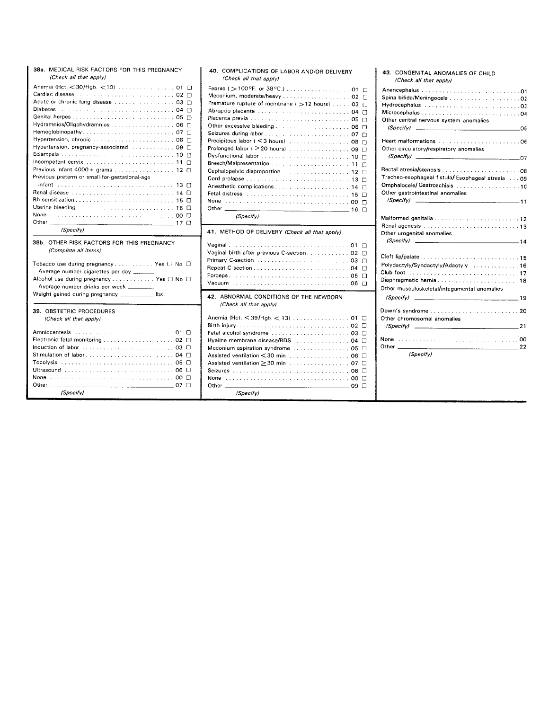| 38a. MEDICAL RISK FACTORS FOR THIS PREGNANCY<br>(Check all that apply)                                                                                                                                                                                                                                                                                                                                                                                                    | 40.                                                                                                                                      |
|---------------------------------------------------------------------------------------------------------------------------------------------------------------------------------------------------------------------------------------------------------------------------------------------------------------------------------------------------------------------------------------------------------------------------------------------------------------------------|------------------------------------------------------------------------------------------------------------------------------------------|
| Anemia (Hct. < 30/Hgb. < 10) 01<br>п<br>Acute or chronic lung disease  03 □<br>Ð<br>Hydramnios/Oligohydramnios 06<br>п<br>□<br>Hypertension, chronic  08<br>Hypertension, pregnancy-associated $\ldots$ ,  09 $\Box$<br>Incompetent cervix $\ldots \ldots \ldots \ldots \ldots \ldots \ldots \ldots \ldots 11$<br>П<br>Previous infant $4000 +$ grams 12 $\Box$<br>Previous preterm or small-for-gestational-age<br>infant<br>14 □<br>П<br>Uterine bleeding  16 0<br>None | Fepr<br>Мес<br>Prem<br>Abru<br>Place<br>Othe<br>Seizu<br>Preci<br>Prolo<br>Dvsf<br>Bree<br>Ceph<br>Cord<br>Anes<br>Fetal<br>None<br>Othe |
| Other $\_\_\_\$<br>(Specify)                                                                                                                                                                                                                                                                                                                                                                                                                                              | 41.                                                                                                                                      |
| 38b. OTHER RISK FACTORS FOR THIS PREGNANCY<br>(Complete all items)<br>Tobacco use during pregnancy Yes □ No □<br>Average number cigarettes per day _____<br>Alcohol use during pregnancy Yes O No O<br>Average number drinks per week ________<br>Weight gained during pregnancy _______________ lbs.                                                                                                                                                                     | Vagir<br>Vagir<br>Prima<br>Repe<br>Force<br>Vacu<br>42.                                                                                  |
| 39. OBSTETRIC PROCEDURES<br>(Check all that apply)<br>п<br>Electronic fetal monitoring  02 $\Box$<br>п<br>□<br>Tocolysis<br>n<br>Ω<br>None 00 □<br>Other<br>п<br>(Specify)                                                                                                                                                                                                                                                                                                | Aner<br>Birth<br>Fetal<br>Hyali<br>Meco<br>Assis<br>Assis<br>Seizu<br>None<br>Othe                                                       |

| 40. COMPLICATIONS OF LABOR AND/OR DELIVERY<br>(Check all that apply)                                                                                                                                                                                                                                         |                                                                                                                        |
|--------------------------------------------------------------------------------------------------------------------------------------------------------------------------------------------------------------------------------------------------------------------------------------------------------------|------------------------------------------------------------------------------------------------------------------------|
| Meconium, moderate/heavy  02<br>Premature rupture of membrane ( > 12 hours) 03<br>Abruptio placenta  04<br>Other excessive bleeding  06<br>Precipitous labor (< 3 hours)  08<br>Prolonged labor ( > 20 hours)  09<br>Cord prolapse<br>Fetal distress www.communications.communications.<br>None<br>(Specify) | п<br>п<br>П<br>П<br>П<br>п<br>П<br>П<br>П<br>-10<br>П<br>11<br>п<br>12<br>n<br>13<br>n<br>14<br>П<br>15<br>□<br>п<br>П |
| 41. METHOD OF DELIVERY (Check all that apply)<br>Vaginal birth after previous C-section 02                                                                                                                                                                                                                   | 01<br>П<br>П<br>П<br>$\Box$<br>$\Box$<br>05<br>п                                                                       |
| 42. ABNORMAL CONDITIONS OF THE NEWBORN<br>(Check all that apply)                                                                                                                                                                                                                                             |                                                                                                                        |
|                                                                                                                                                                                                                                                                                                              |                                                                                                                        |

| 43. CONGENITAL ANOMALIES OF CHILD<br>(Check all that apply)                                                           |
|-----------------------------------------------------------------------------------------------------------------------|
| Other central nervous system anomalies                                                                                |
| _______05                                                                                                             |
| Other circulatory/respiratory anomalies                                                                               |
|                                                                                                                       |
| Tracheo-esophageal fistula/Esophageal atresia 09<br>Omphalocele/ Gastroschisis 10<br>Other gastrointestinal anomalies |
| $(Specify)$ 11                                                                                                        |
| Other urogenital anomalies                                                                                            |
| Cleft lip/palate15                                                                                                    |
| Polydactyly/Syndactyly/Adactyly 16                                                                                    |
|                                                                                                                       |
| Diaphragmatic hernia18                                                                                                |
| Other musculoskeletal/integumental anomalies                                                                          |
| $(Specify)$ 19                                                                                                        |
| Down's syndrome20<br>Other chromosomal anomalies                                                                      |
| $(Specify)$ 21                                                                                                        |
| None<br>Other                                                                                                         |
| (Specify)                                                                                                             |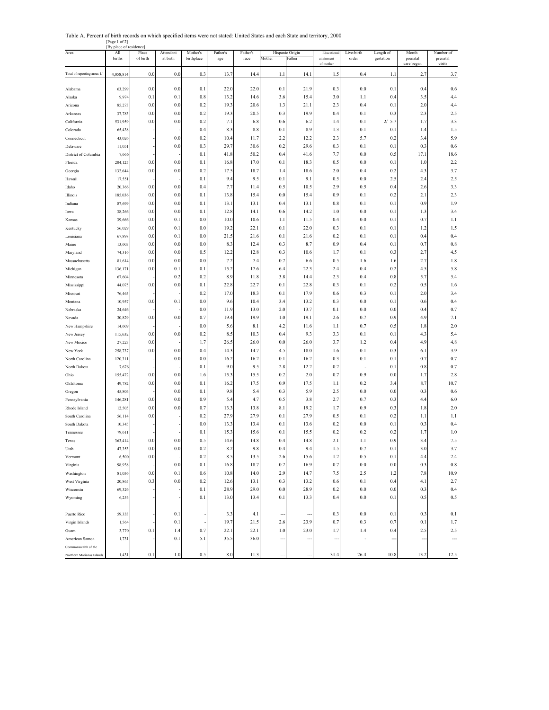Table A. Percent of birth records on which specified items were not stated: United States and each State and territory, 2000

--- --- --- --- --- **--- --- ---** --- --- [Page 1 of 2] [By place of residence] Area All Place Attendant Mother's Father's Father's Hispanic Origin Educational Live-birth Length of Month Number of births of birth at birth birthplace age race Mother Father attainment order gestation prenatal prenatal attainment order gestation prenatal prenatal prenatal prenatal prenatal prenatal prenatal prenatal prenatal prenatal  $\frac{1}{2}$  care began visits Total of reporting areas 1/ 4,058,814 0.0 0.0 0.3 13.7 14.4 1.1 14.1 1.5 0.4 1.1 2.7 3.7 Alabama | 63,299 0.0 0.0 0.1 22.0 22.0 0.1 21.9 0.3 0.0 0.1 0.4 0.6 Alaska | 9,974 0.1 0.1 0.8 13.2 14.6 3.6 15.4 3.0 1.1 0.4 3.5 4.4 Arizona | 85,273 0.0 0.0 0.2 19.3 20.6 1.3 21.1 2.3 0.4 0.1 2.0 4.4 Arkansas | 37,783 0.0 0.0 0.0 0.2 19.3 20.5 0.3 19.9 0.4 0.1 0.3 2.3 2.5 California 531,959 0.0 0.0 0.2 7.1 6.8 0.6 6.2 1.4 0.1 2/ 1.7 3.3 Colorado | 65,438 - - - 0.4 8.3 8.8 0.1 8.9 1.3 0.1 0.1 1.4 1.5 Connecticut | 43,026 - 0.0 0.2 10.4 11.7 2.2 12.2 2.3 5.7 0.2 3.4 5.9 Delaware | 11,051 - 0.0 0.3 29.7 30.6 0.2 29.6 0.3 0.1 0.1 0.3 0.6 0.6 District of Columbia 7,666 - - 0.1 41.8 50.2 0.4 41.6 7.7 0.0 0.5 17.1 18.6 Florida 204,125 0.0 0.0 0.1 16.8 17.0 0.1 18.3 0.5 0.0 0.1 1.0 2.2 Georgia 132,644 0.0 0.0 0.2 17.5 18.7 1.4 18.6 2.0 0.4 0.2 4.3 3.7 Hawaii 17,551 - - 0.1 9.4 9.5 0.1 9.1 0.5 0.0 2.5 2.4 2.5 Idaho 20,366 0.0 0.0 0.4 7.7 11.4 0.5 10.5 2.9 0.5 0.4 2.6 3.3 Illinois | 185,036 0.0 0.0 0.0 0.1 13.8 15.4 0.0 15.4 0.9 0.1 0.2 2.1 2.3 Indiana | 87,699 0.0 0.0 0.1 13.1 13.1 0.4 13.1 0.8 0.1 0.1 0.9 1.9 Iowa 38,266 0.0 0.0 0.1 12.8 14.1 0.6 14.2 1.0 0.0 0.1 1.3 3.4 Kansas | 39,666 0.0 0.1 0.0 10.0 10.6 1.1 11.5 0.4 0.0 0.1 0.7 1.1 Kentucky | 56,029 0.0 0.1 0.0 19.2 22.1 0.1 22.0 0.3 0.1 0.1 1.2 1.5 Louisiana | 67,898 0.0 0.1 0.0 21.5 21.6 0.1 21.6 0.2 0.1 0.1 0.4 0.4 Maine | 13,603 0.0 0.0 0.0 8.3 12.4 0.3 8.7 0.9 0.4 0.1 0.7 0.8 Maryland 74,316 0.0 0.0 0.5 12.2 12.8 0.3 10.6 1.7 0.1 0.3 2.7 4.5 Massachusetts | 81,614 0.0 0.0 0.0 7.2 7.4 0.7 6.6 0.5 1.6 1.6 2.7 1.8 Michigan | 136,171 | 0.0 | 0.1 | 0.1 | 15.2 | 17.6 | 6.4 | 22.3 | 2.4 | 0.4 | 0.2 | 4.5 | 5.8 Minnesota | 67,604 - 0.2 0.2 8.9 11.8 3.8 14.4 2.3 0.4 0.8 5.7 5.4 Mississippi | 44,075 0.0 0.0 0.1 22.8 22.7 0.1 22.8 0.3 0.1 0.2 0.5 1.6 Missouri | 76,463 - - - 0.2 17.0 18.3 0.1 17.9 0.6 0.3 0.1 2.0 3.4 Montana | 10,957 0.0 0.1 0.0 9.6 10.4 3.4 13.2 0.3 0.0 0.1 0.6 0.4 Nebraska | 24,646 - - 0.0 11.9 13.0 2.0 13.7 0.1 0.0 0.0 0.4 0.7 Nevada 30,829 0.0 0.0 0.7 19.4 19.9 1.0 19.1 2.6 0.7 0.9 4.9 7.1 New Hampshire | 14,609 - | - | 0.0 | 5.6 | 8.1 | 4.2 | 11.6 1.1 | 0.7 | 0.5 | 1.8 | 2.0 New Jersey | 115,632 | 0.0 | 0.0 | 0.2 | 8.5 | 10.3 | 0.4 | 9.3 | 3.3 | 0.1 | 0.1 | 4.3 | 5.4 New Mexico | 27,223 0.0 - 1.7 26.5 26.0 0.0 26.0 3.7 1.2 0.4 4.9 4.8 New York 258,737 0.0 0.0 0.4 14.3 14.7 4.5 18.0 1.6 0.1 0.3 6.1 3.9 North Carolina || 120,311 || -|| 0.0|| 0.0|| 16.2|| 16.2|| 0.1|| 16.2|| 0.3|| 0.1|| 0.7|| 0.7|| 0.7| North Dakota | 7,676 - | - | 0.1 | 9.0 | 9.5 | 2.8 | 12.2 | 0.2 | - | 0.1 | 0.8 | 0.7 Ohio 155,472 0.0 0.0 1.6 15.3 15.5 0.2 2.0 0.7 0.9 0.0 1.7 2.8 Oklahoma 49,782 0.0 0.0 0.1 16.2 17.5 0.9 17.5 1.1 0.2 3.4 8.7 10.7 Oregon | 45,804 - 0.0 0.1 9.8 5.4 0.3 5.9 2.5 0.0 0.0 0.3 0.6 Pennsylvania 146,281 0.0 0.0 0.9 5.4 4.7 0.5 3.8 2.7 0.7 0.3 4.4 6.0 Rhode Island | 12,505 0.0 0.0 0.7 13.3 13.8 8.1 19.2 1.7 0.9 0.3 1.8 2.0 South Carolina | 56,114 0.0 - 0.2 27.9 27.9 0.1 27.9 0.5 0.1 0.2 1.1 1.1 South Dakota | 10,345 - - - - 0.0 13.3 13.4 0.1 13.6 0.2 0.0 0.1 0.3 0.4 0.4 Tennessee | 79,611 - | - | 0.1 | 15.3 | 15.6 0.1 | 15.5 | 0.2 | 0.2 | 0.2 | 1.7 | 1.0 Texas 363,414 0.0 0.0 0.5 14.6 14.8 0.4 14.8 2.1 1.1 0.9 3.4 7.5 Utah 47,353 0.0 0.0 0.2 8.2 9.8 0.4 9.4 1.5 0.7 0.1 3.0 3.7 Vermont | 6,500 0.0 - 0.2 8.5 13.5 2.6 15.6 1.2 0.5 0.1 4.4 2.4 Virginia | 98,938 - 0.0 0.1 16.8 18.7 0.2 16.9 0.7 0.0 0.0 0.3 0.8 Washington | 81,036 0.0 0.1 0.6 10.8 14.0 2.9 14.7 7.5 2.5 1.2 7.8 10.9 West Virginia 20,865 0.3 0.0 0.2 12.6 13.1 0.3 13.2 0.6 0.1 0.4 4.1 2.7 Wisconsin | 69,326 - - - 0.1 28.9 29.0 0.0 28.9 0.2 0.0 0.0 0.3 0.4 0.4 Wyoming | 6,253 -| -| 0.1| 13.0| 13.4| 0.1| 13.3| 0.4| 0.0| 0.1| 0.5| 0.5 Puerto Rico 59,333 - 0.1 - 3.3 4.1 0.3 0.0 0.1 0.3 0.1 Virgin Islands | 1,564 - 0.1 - 19.7 21.5 2.6 23.9 0.7 0.3 0.7 0.1 1.7 Guam | 3,770 0.1 1.4 0.7 22.1 22.1 1.0 23.0 1.7 1.4 0.4 2.5 2.5 American Samoa 1,731 - 0.1 5.1 35.5 36.0 - Commonwealth of the Northern Marianas Islands 1,431 0.1 1.0 0.5 8.0 11.3 --- 31.4 26.4 10.8 13.2 12.5 Hispanic Origin  $2/5.7$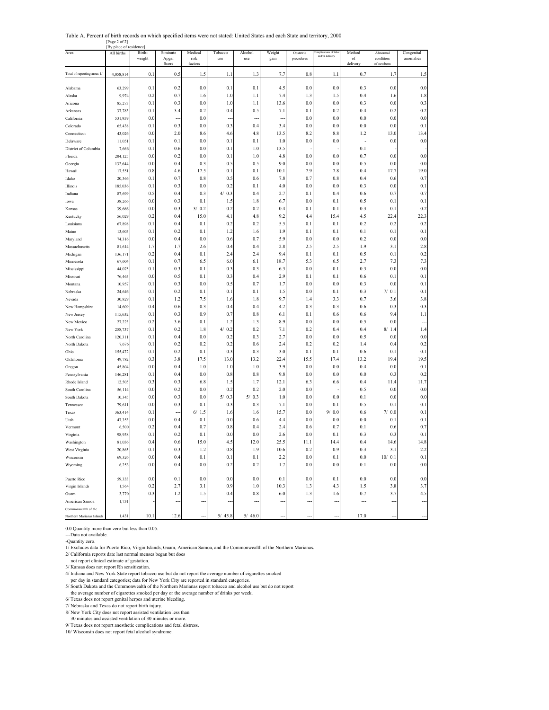Table A. Percent of birth records on which specified items were not stated: United States and each State and territory, 2000 [Page 2 of 2]

|                             | [By place of residence |                  |                   |                 |                |                |                |                         |                                        |              |                        |                         |
|-----------------------------|------------------------|------------------|-------------------|-----------------|----------------|----------------|----------------|-------------------------|----------------------------------------|--------------|------------------------|-------------------------|
| Area                        | All births             | Birth-<br>weight | 5-minute<br>Apgar | Medical<br>risk | Tobacco<br>use | Alcohol<br>use | Weight<br>gain | Obstetric<br>procedures | omplications of lab<br>and/or delivery | Method<br>of | Abnormal<br>conditions | Congenital<br>anomalies |
|                             |                        |                  | Score             | factors         |                |                |                |                         |                                        | delivery     | of newborn             |                         |
| Total of reporting areas 1/ | 4,058,814              | 0.1              | 0.5               | 1.5             | 1.1            | 1.3            | 7.7            | 0.8                     | 1.1                                    | 0.7          | 1.7                    | 1.5                     |
|                             |                        |                  |                   |                 |                |                |                |                         |                                        |              |                        |                         |
| Alabama                     | 63,299                 | 0.1              | 0.2               | 0.0             | 0.1            | 0.1            | 4.5            | 0.0                     | 0.0                                    | 0.3          | 0.0                    | $0.0\,$                 |
| Alaska                      | 9,974                  | 0.2              | 0.7               | 1.6             | 1.0            | 1.1            | 7.4            | 1.3                     | 1.5                                    | 0.4          | 1.6                    | 1.8                     |
| Arizona                     | 85,273                 | 0.1              | 0.3               | 0.0             | 1.0            | 1.1            | 13.6           | 0.0                     | 0.0                                    | 0.3          | 0.0                    | 0.3                     |
| Arkansas                    | 37,783                 | 0.1              | 3.4               | 0.2             | 0.4            | 0.5            | 7.1            | 0.1                     | 0.2                                    | 0.4          | 0.2                    | 0.2                     |
| California                  | 531,959                | 0.0              |                   | 0.0             |                |                |                | 0.0                     | 0.0                                    | 0.0          | 0.0                    | $0.0\,$                 |
| Colorado                    | 65,438                 | 0.1              | 0.3               | 0.0             | 0.3            | 0.4            | 3.4            | 0.0                     | 0.0                                    | 0.0          | 0.0                    | 0.1                     |
| Connecticut                 | 43,026                 | 0.0              | 2.0               | 8.6             | 4.6            | 4.8            | 13.5           | 8.2                     | 8.8                                    | 1.2          | 13.0                   | 13.4                    |
| Delaware                    | 11,051                 | 0.1              | 0.1               | 0.0             | 0.1            | 0.1            | 1.0            | 0.0                     | 0.0                                    |              | 0.0                    | $0.0\,$                 |
| District of Columbia        | 7,666                  | 0.1              | 0.6               | 0.0             | 0.1            | 1.0            | 13.5           |                         |                                        | 0.1          |                        |                         |
| Florida                     | 204,125                | 0.0              | 0.2               | 0.0             | 0.1            | 1.0            | 4.8            | 0.0                     | 0.0                                    | 0.7          | 0.0                    | 0.0                     |
| Georgia                     | 132,644                | 0.0              | 0.4               | 0.3             | 0.5            | 0.5            | 9.0            | 0.0                     | 0.0                                    | 0.5          | 0.0                    | 0.0                     |
| Hawaii                      | 17,55                  | 0.8              | 4.6               | 17.5            | 0.1            | 0.1            | 10.1           | 7.9                     | 7.8                                    | 0.4          | 17.7                   | 19.0                    |
| Idaho                       | 20,366                 | 0.1              | 0.7               | 0.8             | 0.5            | 0.6            | 7.8            | 0.7                     | 0.8                                    | 0.4          | 0.6                    | 0.7                     |
| Illinois                    | 185,036                | 0.1              | 0.3               | 0.0             | 0.2            | 0.1            | 4.0            | 0.0                     | 0.0                                    | 0.3          | 0.0                    | 0.1                     |
| Indiana                     | 87,699                 | 0.5              | 0.4               | 0.3             | 0.3<br>4/      | 0.4            | 2.7            | 0.1                     | 0.4                                    | 0.6          | 0.7                    | 0.7                     |
| Iowa                        | 38,266                 | 0.0              | 0.3               | 0.1             | 1.5            | 1.8            | 6.7            | 0.0                     | 0.1                                    | 0.5          | 0.1                    | 0.1                     |
| Kansas                      | 39,666                 | 0.0              | 0.3               | 3/0.2           | 0.2            | 0.2            | 0.4            | 0.1                     | 0.1                                    | 0.3          | 0.1                    | 0.2                     |
| Kentucky                    | 56,029                 | 0.2              | 0.4               | 15.0            | 4.1            | 4.8            | 9.2            | 4.4                     | 15.4                                   | 4.5          | 22.4                   | 22.3                    |
| Louisiana                   | 67,898                 | 0.1              | 0.4               | 0.1             | 0.2            | 0.2            | 5.5            | 0.1                     | 0.1                                    | 0.2          | 0.2                    | 0.2                     |
| Maine                       | 13,603                 | 0.1              | 0.2               | 0.1             | 1.2            | 1.6            | 1.9            | 0.1                     | 0.1                                    | 0.1          | 0.1                    | 0.1                     |
| Maryland                    | 74,316                 | 0.0              | 0.4               | 0.0             | 0.6            | 0.7            | 5.9            | 0.0                     | 0.0                                    | 0.2          | 0.0                    | $0.0\,$                 |
| Massachusetts               | 81,614                 | 1.7              | 1.7               | 2.6             | 0.4            | 0.4            | 2.8            | 2.5                     | 2.5                                    | 1.9          | 3.1                    | 2.8                     |
| Michigan                    | 136,171                | 0.2              | 0.4               | 0.1             | 2.4            | 2.4            | 9.4            | 0.1                     | 0.1                                    | 0.5          | 0.1                    | 0.2                     |
| Minnesota                   | 67,604                 | 0.1              | 0.7               | 6.5             | 6.0            | 6.1            | 18.7           | 5.3                     | 6.5                                    | 2.7          | 7.3                    | 7.3                     |
| Mississippi                 | 44,075                 | 0.1              | 0.3               | 0.1             | 0.3            | 0.3            | 6.3            | 0.0                     | 0.1                                    | 0.3          | 0.0                    | $0.0\,$                 |
| Missouri                    | 76,463                 | 0.0              | 0.5               | 0.1             | 0.3            | 0.4            | 2.9            | 0.1                     | 0.1                                    | 0.6          | 0.1                    | 0.1                     |
| Montana                     | 10,957                 | 0.1              | 0.3               | 0.0             | 0.5            | 0.7            | 1.7            | 0.0                     | 0.0                                    | 0.3          | 0.0                    | 0.1                     |
| Nebraska                    | 24,646                 | 0.1              | 0.2               | 0.1             | 0.1            | 0.1            | 1.5            | 0.0                     | 0.1                                    | 0.3          | 7/0.1                  | 0.1                     |
| Nevada                      | 30,829                 | 0.1              | 1.2               | 7.5             | 1.6            | 1.8            | 9.7            | 1.4                     | 3.3                                    | 0.7          | 3.6                    | 3.8                     |
| New Hampshire               | 14,609                 | 0.4              | 0.6               | 0.3             | 0.4            | 0.4            | 4.2            | 0.3                     | 0.3                                    | 0.6          | 0.3                    | 0.3                     |
| New Jersey                  | 115,632                | 0.1              | 0.3               | 0.9             | 0.7            | 0.8            | 6.1            | 0.1                     | 0.6                                    | 0.6          | 9.4                    | 1.1                     |
| New Mexico                  | 27,223                 | 0.2              | 3.6               | 0.1             | 1.2            | 1.3            | 8.9            | 0.0                     | 0.0                                    | 0.5          | 0.0                    |                         |
| New York                    | 258,737                | 0.1              | 0.2               | 1.8             | 0.2<br>4/      | 0.2            | 7.1            | 0.2                     | 0.4                                    | 0.4          | 8/1.4                  | 1.4                     |
| North Carolina              | 120,311                | 0.1              | 0.4               | 0.0             | 0.2            | 0.3            | 2.7            | 0.0                     | 0.0                                    | 0.5          | 0.0                    | $0.0\,$                 |
| North Dakota                | 7,676                  | 0.1              | 0.2               | 0.2             | 0.2            | 0.6            | 2.4            | 0.2                     | 0.2                                    | 1.4          | 0.4                    | 0.2                     |
| Ohio                        | 155,472                | 0.1              | 0.2               | 0.1             | 0.3            | 0.3            | 3.0            | 0.1                     | 0.1                                    | 0.6          | 0.1                    | 0.1                     |
| Oklahoma                    | 49,782                 | 0.3              | 3.8               | 17.5            | 13.0           | 13.2           | 22.4           | 15.5                    | 17.4                                   | 13.2         | 19.4                   | 19.5                    |
| Oregon                      | 45,804                 | 0.0              | 0.4               | 1.0             | 1.0            | 1.0            | 3.9            | 0.0                     | 0.0                                    | 0.4          | 0.0                    | 0.1                     |
| Pennsylvania                | 146,281                | 0.1              | 0.4               | 0.0             | 0.8            | 0.8            | 9.8            | 0.0                     | 0.0                                    | 0.0          | 0.3                    | 0.2                     |
| Rhode Island                | 12,505                 | 0.3              | 0.3               | 6.8             | 1.5            | 1.7            | 12.1           | 6.3                     | 6.6                                    | 0.4          | 11.4                   | 11.7                    |
| South Carolina              | 56,114                 | 0.0              | 0.2               | 0.0             | 0.2            | 0.2            | 2.0            | 0.0                     |                                        | 0.5          | 0.0                    | $0.0\,$                 |
| South Dakota<br>Tennessee   | 10,345                 | 0.0<br>0.0       | 0.3<br>0.3        | 0.0<br>0.1      | 5/0.3<br>0.3   | 5/0.3<br>0.3   | 1.0<br>7.1     | 0.0<br>0.0              | 0.0<br>0.1                             | 0.1<br>0.5   | 0.0<br>0.1             | $0.0\,$<br>0.1          |
| Texas                       | 79,611                 | 0.1              |                   | 6/1.5           | 1.6            | 1.6            | 15.7           | 0.0                     | 9/0.0                                  | 0.6          | 7/0.0                  | 0.1                     |
|                             | 363,414                | 0.0              | 0.4               | 0.1             | 0.0            | 0.6            | 4.4            | 0.0                     | 0.0                                    | 0.0          | 0.1                    | 0.1                     |
| Utah                        | 47,353<br>6,500        | 0.2              | 0.4               | 0.7             | 0.8            | 0.4            | 2.4            | 0.6                     | 0.7                                    | 0.1          | 0.6                    | 0.7                     |
| Vermont<br>Virginia         | 98,938                 | 0.1              | 0.2               | 0.1             | 0.0            | 0.0            | 2.6            | 0.0                     | 0.1                                    | 0.3          | 0.3                    | 0.1                     |
| Washington                  | 81,036                 | 0.4              | 0.6               | 15.0            | 4.5            | 12.0           | 25.5           | 11.1                    | 14.4                                   | 0.4          | 14.6                   | 14.8                    |
| West Virginia               | 20,865                 | 0.1              | 0.3               | 1.2             | 0.8            | 1.9            | 10.6           | 0.2                     | 0.9                                    | 0.3          | 3.1                    | 2.2                     |
| Wisconsin                   | 69,326                 | 0.0              | 0.4               | 0.1             | 0.1            | 0.1            | 2.2            | $0.0\,$                 | 0.1                                    | 0.0          | 10/0.1                 | 0.1                     |
|                             |                        |                  | 0.4               | $0.0\,$         | 0.2            | 0.2            | 1.7            | 0.0                     | 0.0                                    | 0.1          |                        | $0.0\,$                 |
| Wyoming                     | 6,253                  | 0.0              |                   |                 |                |                |                |                         |                                        |              | 0.0                    |                         |
| Puerto Rico                 | 59,333                 | 0.0              | 0.1               | 0.0             | 0.0            | 0.0            | 0.1            | 0.0                     | 0.1                                    | 0.0          | 0.0                    | $0.0\,$                 |
| Virgin Islands              | 1,564                  | 0.2              | 2.7               | 3.1             | 0.9            | 1.0            | 10.3           | 1.3                     | 4.3                                    | 1.5          | 3.8                    | 3.7                     |
| Guam                        | 3,770                  | 0.3              | 1.2               | 1.5             | 0.4            | 0.8            | 6.0            | 1.3                     | 1.6                                    | 0.7          | 3.7                    | 4.5                     |
| American Samoa              | 1,731                  |                  | ۵.                |                 |                |                |                | ц,                      | ٠.                                     |              |                        |                         |
| Commonwealth of the         |                        |                  |                   |                 |                |                |                |                         |                                        |              |                        |                         |
| Northern Marianas Islands   | 1,431                  | 10.1             | 12.6              |                 | 5/45.8         | 5/46.0         |                |                         |                                        | 17.0         |                        |                         |

0.0 Quantity more than zero but less than 0.05.

---Data not available.

-Quantity zero.

1/ Excludes data for Puerto Rico, Virgin Islands, Guam, American Samoa, and the Commonwealth of the Northern Marianas.

2/ California reports date last normal menses began but does

not report clinical estimate of gestation.

3/ Kansas does not report Rh sensitization.

4/ Indiana and New York State report tobacco use but do not report the average number of cigarettes smoked per day in standard categories; data for New York City are reported in standard categories.

5/ South Dakota and the Commonwealth of the Northern Marianas report tobacco and alcohol use but do not report

the average number of cigarettes smoked per day or the average number of drinks per week. 6/ Texas does not report genital herpes and uterine bleeding.

7/ Nebraska and Texas do not report birth injury.

8/ New York City does not report assisted ventilation less than 30 minutes and assisted ventilation of 30 minutes or more.

9/ Texas does not report anesthetic complications and fetal distress.

10/ Wisconsin does not report fetal alcohol syndrome.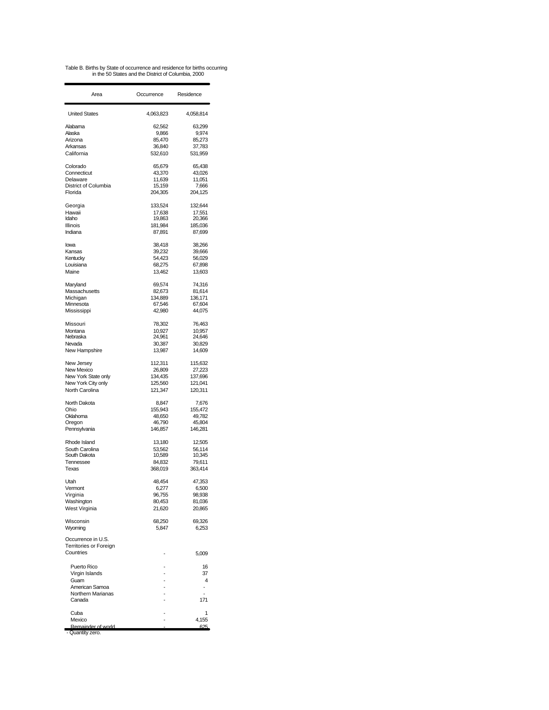Table B. Births by State of occurrence and residence for births occurring in the 50 States and the District of Columbia, 2000

| Area                   | Occurrence       | Residence        |
|------------------------|------------------|------------------|
| <b>United States</b>   | 4,063,823        | 4,058,814        |
| Alabama                | 62,562           | 63,299           |
| Alaska                 | 9,866            | 9,974            |
| Arizona                | 85,470           | 85,273           |
| Arkansas               | 36,840           | 37,783           |
| California             | 532,610          | 531,959          |
| Colorado               | 65,679           | 65,438           |
| Connecticut            | 43,370           | 43,026           |
| Delaware               | 11,639           | 11,051           |
| District of Columbia   | 15,159           | 7,666            |
| Florida                | 204,305          | 204.125          |
|                        |                  |                  |
| Georgia                | 133.524          | 132,644          |
| Hawaii<br>Idaho        | 17.638<br>19,863 | 17,551<br>20,366 |
| Illinois               | 181,984          | 185,036          |
| Indiana                | 87,891           | 87,699           |
|                        |                  |                  |
| lowa                   | 38,418           | 38,266           |
| Kansas                 | 39,232           | 39,666           |
| Kentucky               | 54,423           | 56,029           |
| Louisiana              | 68,275           | 67,898           |
| Maine                  | 13,462           | 13,603           |
| Maryland               | 69,574           | 74,316           |
| Massachusetts          | 82,673           | 81,614           |
| Michigan               | 134,889          | 136,171          |
| Minnesota              | 67,546           | 67,604           |
| Mississippi            | 42,980           | 44.075           |
|                        |                  |                  |
| Missouri               | 78.302           | 76,463           |
| Montana                | 10,927           | 10.957           |
| Nebraska               | 24,961           | 24,646           |
| Nevada                 | 30,387           | 30,829           |
| New Hampshire          | 13,987           | 14,609           |
| New Jersey             | 112,311          | 115,632          |
| New Mexico             | 26,809           | 27,223           |
| New York State only    | 134,435          | 137,696          |
| New York City only     | 125,560          | 121,041          |
| North Carolina         | 121,347          | 120,311          |
|                        |                  |                  |
| North Dakota<br>Ohio   | 8,847<br>155,943 | 7,676<br>155,472 |
| Oklahoma               | 48,650           | 49,782           |
| Oregon                 | 46,790           | 45,804           |
| Pennsylvania           | 146,857          | 146,281          |
|                        |                  |                  |
| Rhode Island           | 13,180           | 12,505           |
| South Carolina         | 53,562           | 56,114           |
| South Dakota           | 10,589           | 10,345           |
| Tennessee              | 84,832           | 79,611           |
| Texas                  | 368,019          | 363,414          |
| Utah                   | 48,454           | 47,353           |
| Vermont                | 6,277            | 6,500            |
| Virginia               | 96,755           | 98,938           |
| Washington             | 80,453           | 81,036           |
| West Virginia          | 21,620           | 20,865           |
|                        |                  |                  |
| Wisconsin              | 68,250<br>5,847  | 69,326<br>6,253  |
| Wyoming                |                  |                  |
| Occurrence in U.S.     |                  |                  |
| Territories or Foreign |                  |                  |
| Countries              |                  | 5,009            |
|                        |                  |                  |
| Puerto Rico            |                  | 16               |
| Virgin Islands         |                  | 37<br>4          |
| Guam<br>American Samoa |                  |                  |
| Northern Marianas      |                  |                  |
| Canada                 |                  | 171              |
|                        |                  |                  |
| Cuba                   |                  | 1                |
| Mexico                 |                  | 4,155            |
| Remainder of world     |                  | 625              |
| - Quantity zero.       |                  |                  |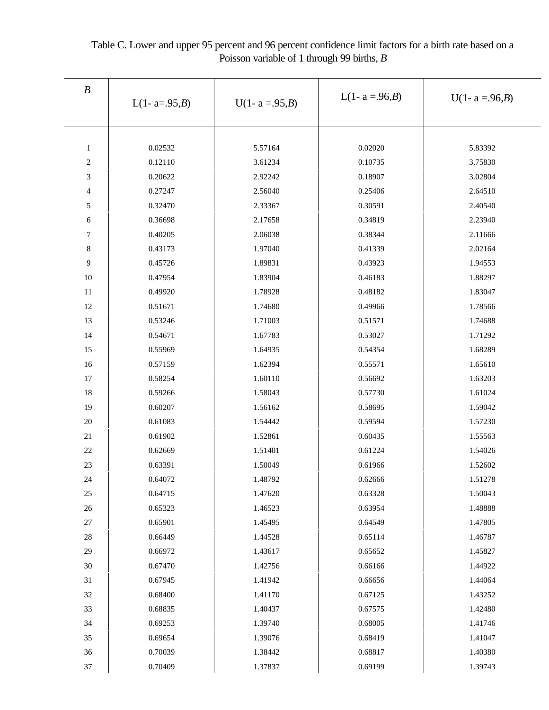| $\boldsymbol{B}$ | L(1- a=.95, <i>B</i> ) | $U(1 - a = .95,B)$ |         | $U(1 - a = .96,B)$ |  |
|------------------|------------------------|--------------------|---------|--------------------|--|
|                  |                        |                    |         |                    |  |
|                  |                        |                    |         |                    |  |
| $\mathbf{1}$     | 0.02532                | 5.57164            | 0.02020 | 5.83392            |  |
| $\boldsymbol{2}$ | 0.12110                | 3.61234            | 0.10735 | 3.75830            |  |
| 3                | 0.20622                | 2.92242            | 0.18907 | 3.02804            |  |
| $\overline{4}$   | 0.27247                | 2.56040            | 0.25406 | 2.64510            |  |
| 5                | 0.32470                | 2.33367            | 0.30591 | 2.40540            |  |
| 6                | 0.36698                | 2.17658            | 0.34819 | 2.23940            |  |
| $\overline{7}$   | 0.40205                | 2.06038            | 0.38344 | 2.11666            |  |
| $\,8\,$          | 0.43173                | 1.97040            | 0.41339 | 2.02164            |  |
| 9                | 0.45726                | 1.89831            | 0.43923 | 1.94553            |  |
| 10               | 0.47954                | 1.83904            | 0.46183 | 1.88297            |  |
| 11               | 0.49920                | 1.78928            | 0.48182 | 1.83047            |  |
| 12               | 0.51671                | 1.74680            | 0.49966 | 1.78566            |  |
| 13               | 0.53246                | 1.71003            | 0.51571 | 1.74688            |  |
| 14               | 0.54671                | 1.67783            | 0.53027 | 1.71292            |  |
| 15               | 0.55969                | 1.64935            | 0.54354 | 1.68289            |  |
| 16               | 0.57159                | 1.62394            | 0.55571 | 1.65610            |  |
| 17               | 0.58254                | 1.60110            | 0.56692 | 1.63203            |  |
| 18               | 0.59266                | 1.58043            | 0.57730 | 1.61024            |  |
| 19               | 0.60207                | 1.56162            | 0.58695 | 1.59042            |  |
| $20\,$           | 0.61083                | 1.54442            | 0.59594 | 1.57230            |  |
| 21               | 0.61902                | 1.52861            | 0.60435 | 1.55563            |  |
| 22               | 0.62669                | 1.51401            | 0.61224 | 1.54026            |  |
| 23               | 0.63391                | 1.50049            | 0.61966 | 1.52602            |  |
| 24               | 0.64072                | 1.48792            | 0.62666 | 1.51278            |  |
| 25               | 0.64715                | 1.47620            | 0.63328 | 1.50043            |  |
| 26               | 0.65323                | 1.46523            | 0.63954 | 1.48888            |  |
| $27\,$           | 0.65901                | 1.45495            | 0.64549 | 1.47805            |  |
| $28\,$           | 0.66449                | 1.44528            | 0.65114 | 1.46787            |  |
| 29               | 0.66972                | 1.43617            | 0.65652 | 1.45827            |  |
| $30\,$           | 0.67470                | 1.42756            | 0.66166 | 1.44922            |  |
| 31               | 0.67945                | 1.41942            | 0.66656 | 1.44064            |  |
| 32               | 0.68400                | 1.41170            | 0.67125 | 1.43252            |  |
| 33               | 0.68835                | 1.40437            | 0.67575 | 1.42480            |  |
| 34               | 0.69253                | 1.39740            | 0.68005 | 1.41746            |  |
| 35               | 0.69654                | 1.39076            | 0.68419 | 1.41047            |  |
| $36\,$           | 0.70039                | 1.38442            | 0.68817 | 1.40380            |  |
| $37\,$           | 0.70409                | 1.37837            | 0.69199 | 1.39743            |  |

Table C. Lower and upper 95 percent and 96 percent confidence limit factors for a birth rate based on a Poisson variable of 1 through 99 births, *B*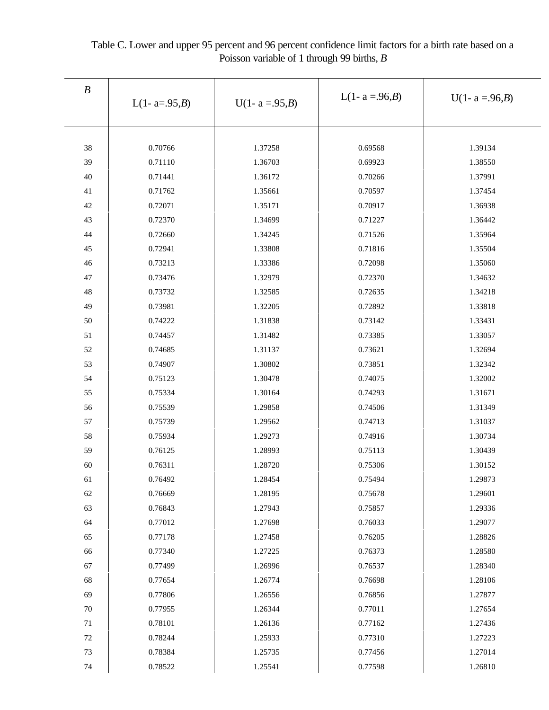| $\boldsymbol{B}$ |                   |                    |                    |                    |  |  |
|------------------|-------------------|--------------------|--------------------|--------------------|--|--|
|                  | L(1- $a=0.95,B$ ) | $U(1 - a = .95,B)$ | L(1- $a = .96,B$ ) | $U(1 - a = .96,B)$ |  |  |
|                  |                   |                    |                    |                    |  |  |
| 38               | 0.70766           | 1.37258            | 0.69568            | 1.39134            |  |  |
| 39               | 0.71110           | 1.36703            | 0.69923            | 1.38550            |  |  |
| 40               | 0.71441           | 1.36172            | 0.70266            | 1.37991            |  |  |
| 41               | 0.71762           | 1.35661            | 0.70597            | 1.37454            |  |  |
| 42               | 0.72071           | 1.35171            | 0.70917            | 1.36938            |  |  |
| 43               | 0.72370           | 1.34699            | 0.71227            | 1.36442            |  |  |
| 44               | 0.72660           | 1.34245            | 0.71526            | 1.35964            |  |  |
| 45               | 0.72941           | 1.33808            | 0.71816            | 1.35504            |  |  |
| 46               | 0.73213           | 1.33386            | 0.72098            | 1.35060            |  |  |
| 47               | 0.73476           | 1.32979            | 0.72370            | 1.34632            |  |  |
| $48\,$           | 0.73732           | 1.32585            | 0.72635            | 1.34218            |  |  |
| 49               | 0.73981           | 1.32205            | 0.72892            | 1.33818            |  |  |
| 50               | 0.74222           | 1.31838            | 0.73142            | 1.33431            |  |  |
| 51               | 0.74457           | 1.31482            | 0.73385            | 1.33057            |  |  |
| 52               | 0.74685           | 1.31137            | 0.73621            | 1.32694            |  |  |
| 53               | 0.74907           | 1.30802            | 0.73851            | 1.32342            |  |  |
| 54               | 0.75123           | 1.30478            | 0.74075            | 1.32002            |  |  |
| 55               | 0.75334           | 1.30164            | 0.74293            | 1.31671            |  |  |
| 56               | 0.75539           | 1.29858            | 0.74506            | 1.31349            |  |  |
| 57               | 0.75739           | 1.29562            | 0.74713            | 1.31037            |  |  |
| 58               | 0.75934           | 1.29273            | 0.74916            | 1.30734            |  |  |
| 59               | 0.76125           | 1.28993            | 0.75113            | 1.30439            |  |  |
| 60               | 0.76311           | 1.28720            | 0.75306            | 1.30152            |  |  |
| 61               | 0.76492           | 1.28454            | 0.75494            | 1.29873            |  |  |
| 62               | 0.76669           | 1.28195            | 0.75678            | 1.29601            |  |  |
| 63               | 0.76843           | 1.27943            | 0.75857            | 1.29336            |  |  |
| 64               | 0.77012           | 1.27698            | 0.76033            | 1.29077            |  |  |
| 65               | 0.77178           | 1.27458            | 0.76205            | 1.28826            |  |  |
| 66               | 0.77340           | 1.27225            | 0.76373            | 1.28580            |  |  |
| 67               | 0.77499           | 1.26996            | 0.76537            | 1.28340            |  |  |
| 68               | 0.77654           | 1.26774            | 0.76698            | 1.28106            |  |  |
| 69               | 0.77806           | 1.26556            | 0.76856            | 1.27877            |  |  |
| $70\,$           | 0.77955           | 1.26344            | 0.77011            | 1.27654            |  |  |
| $71\,$           | 0.78101           | 1.26136            | 0.77162            | 1.27436            |  |  |
| 72               | 0.78244           | 1.25933            | 0.77310            | 1.27223            |  |  |
| 73               | 0.78384           | 1.25735            | 0.77456            | 1.27014            |  |  |
| $74\,$           | 0.78522           | 1.25541            | 0.77598            | 1.26810            |  |  |

Table C. Lower and upper 95 percent and 96 percent confidence limit factors for a birth rate based on a Poisson variable of 1 through 99 births, *B*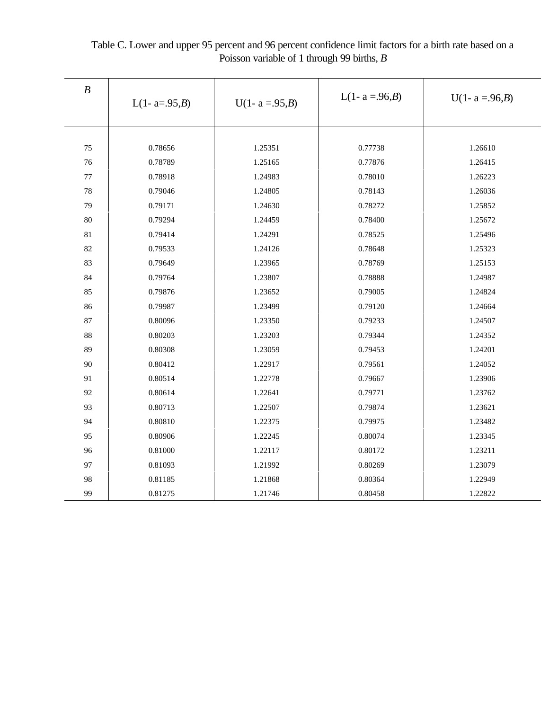| $\boldsymbol{B}$ | L(1- $a=0.95,B$ ) | $U(1 - a = .95,B)$ | L(1- $a = .96,B$ ) | $U(1 - a = .96,B)$ |
|------------------|-------------------|--------------------|--------------------|--------------------|
|                  |                   |                    |                    |                    |
| 75               | 0.78656           | 1.25351            | 0.77738            | 1.26610            |
| 76               | 0.78789           | 1.25165            | 0.77876            | 1.26415            |
| 77               | 0.78918           | 1.24983            | 0.78010            | 1.26223            |
| 78               | 0.79046           | 1.24805            | 0.78143            | 1.26036            |
| 79               | 0.79171           | 1.24630            | 0.78272            | 1.25852            |
| 80               | 0.79294           | 1.24459            | 0.78400            | 1.25672            |
| 81               | 0.79414           | 1.24291            | 0.78525            | 1.25496            |
| 82               | 0.79533           | 1.24126            | 0.78648            | 1.25323            |
| 83               | 0.79649           | 1.23965            | 0.78769            | 1.25153            |
| 84               | 0.79764           | 1.23807            | 0.78888            | 1.24987            |
| 85               | 0.79876           | 1.23652            | 0.79005            | 1.24824            |
| 86               | 0.79987           | 1.23499            | 0.79120            | 1.24664            |
| 87               | 0.80096           | 1.23350            | 0.79233            | 1.24507            |
| 88               | 0.80203           | 1.23203            | 0.79344            | 1.24352            |
| 89               | 0.80308           | 1.23059            | 0.79453            | 1.24201            |
| 90               | 0.80412           | 1.22917            | 0.79561            | 1.24052            |
| 91               | 0.80514           | 1.22778            | 0.79667            | 1.23906            |
| 92               | 0.80614           | 1.22641            | 0.79771            | 1.23762            |
| 93               | 0.80713           | 1.22507            | 0.79874            | 1.23621            |
| 94               | 0.80810           | 1.22375            | 0.79975            | 1.23482            |
| 95               | 0.80906           | 1.22245            | 0.80074            | 1.23345            |
| 96               | 0.81000           | 1.22117            | 0.80172            | 1.23211            |
| 97               | 0.81093           | 1.21992            | 0.80269            | 1.23079            |
| 98               | 0.81185           | 1.21868            | 0.80364            | 1.22949            |
| 99               | 0.81275           | 1.21746            | 0.80458            | 1.22822            |

Table C. Lower and upper 95 percent and 96 percent confidence limit factors for a birth rate based on a Poisson variable of 1 through 99 births, *B*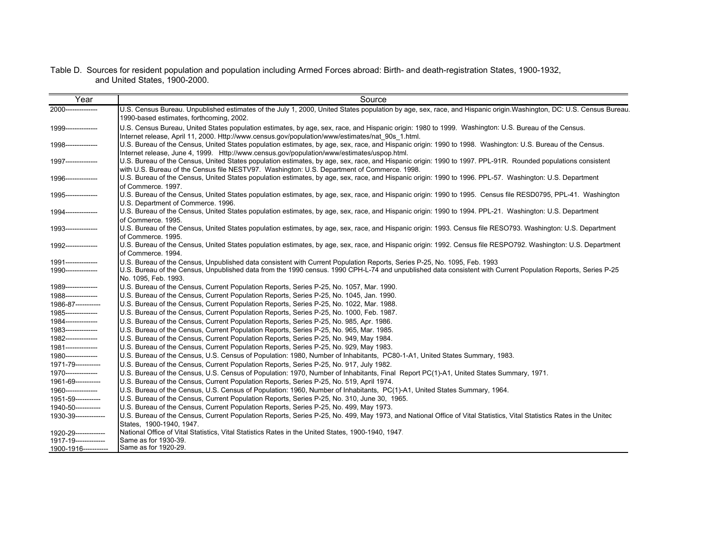#### Table D. Sources for resident population and population including Armed Forces abroad: Birth- and death-registration States, 1900-1932, and United States, 1900-2000.

| Year                                       | Source                                                                                                                                                                                                                                                                                                                                                        |
|--------------------------------------------|---------------------------------------------------------------------------------------------------------------------------------------------------------------------------------------------------------------------------------------------------------------------------------------------------------------------------------------------------------------|
| 2000--------------                         | U.S. Census Bureau. Unpublished estimates of the July 1, 2000, United States population by age, sex, race, and Hispanic origin Washington, DC: U.S. Census Bureau.<br>1990-based estimates, forthcoming, 2002.                                                                                                                                                |
| 1999---------------                        | U.S. Census Bureau, United States population estimates, by age, sex, race, and Hispanic origin: 1980 to 1999. Washington: U.S. Bureau of the Census.                                                                                                                                                                                                          |
| 1998---------------                        | Internet release, April 11, 2000. Http://www.census.gov/population/www/estimates/nat 90s 1.html.<br>U.S. Bureau of the Census, United States population estimates, by age, sex, race, and Hispanic origin: 1990 to 1998. Washington: U.S. Bureau of the Census.<br>Internet release, June 4, 1999. Http://www.census.gov/population/www/estimates/uspop.html. |
| 1997---------------                        | U.S. Bureau of the Census, United States population estimates, by age, sex, race, and Hispanic origin: 1990 to 1997. PPL-91R. Rounded populations consistent<br>with U.S. Bureau of the Census file NESTV97. Washington: U.S. Department of Commerce. 1998.                                                                                                   |
| 1996---------------                        | U.S. Bureau of the Census, United States population estimates, by age, sex, race, and Hispanic origin: 1990 to 1996. PPL-57. Washington: U.S. Department<br>of Commerce, 1997.                                                                                                                                                                                |
| 1995---------------                        | U.S. Bureau of the Census, United States population estimates, by age, sex, race, and Hispanic origin: 1990 to 1995. Census file RESD0795, PPL-41. Washington<br>U.S. Department of Commerce, 1996.                                                                                                                                                           |
| 1994--------------                         | U.S. Bureau of the Census, United States population estimates, by age, sex, race, and Hispanic origin: 1990 to 1994. PPL-21. Washington: U.S. Department<br>of Commerce, 1995.                                                                                                                                                                                |
| 1993---------------                        | U.S. Bureau of the Census, United States population estimates, by age, sex, race, and Hispanic origin: 1993. Census file RESO793. Washington: U.S. Department<br>of Commerce. 1995.                                                                                                                                                                           |
| 1992--------------                         | U.S. Bureau of the Census, United States population estimates, by age, sex, race, and Hispanic origin: 1992. Census file RESPO792. Washington: U.S. Department<br>of Commerce, 1994.                                                                                                                                                                          |
| 1991---------------<br>1990--------------- | U.S. Bureau of the Census, Unpublished data consistent with Current Population Reports, Series P-25, No. 1095, Feb. 1993<br>U.S. Bureau of the Census, Unpublished data from the 1990 census. 1990 CPH-L-74 and unpublished data consistent with Current Population Reports, Series P-25<br>No. 1095, Feb. 1993.                                              |
| 1989--------------                         | U.S. Bureau of the Census, Current Population Reports, Series P-25, No. 1057, Mar. 1990.                                                                                                                                                                                                                                                                      |
| 1988---------------                        | U.S. Bureau of the Census, Current Population Reports, Series P-25, No. 1045, Jan. 1990.                                                                                                                                                                                                                                                                      |
| 1986-87-----------                         | U.S. Bureau of the Census, Current Population Reports, Series P-25, No. 1022, Mar. 1988.                                                                                                                                                                                                                                                                      |
| 1985---------------                        | U.S. Bureau of the Census, Current Population Reports, Series P-25, No. 1000, Feb. 1987.                                                                                                                                                                                                                                                                      |
| 1984---------------                        | U.S. Bureau of the Census, Current Population Reports, Series P-25, No. 985, Apr. 1986.                                                                                                                                                                                                                                                                       |
| 1983---------------                        | U.S. Bureau of the Census, Current Population Reports, Series P-25, No. 965, Mar. 1985.                                                                                                                                                                                                                                                                       |
| 1982---------------                        | U.S. Bureau of the Census, Current Population Reports, Series P-25, No. 949, May 1984.                                                                                                                                                                                                                                                                        |
| 1981--------------                         | U.S. Bureau of the Census, Current Population Reports, Series P-25, No. 929, May 1983.                                                                                                                                                                                                                                                                        |
| 1980--------------                         | U.S. Bureau of the Census, U.S. Census of Population: 1980, Number of Inhabitants, PC80-1-A1, United States Summary, 1983.                                                                                                                                                                                                                                    |
| 1971-79-----------                         | U.S. Bureau of the Census, Current Population Reports, Series P-25, No. 917, July 1982.                                                                                                                                                                                                                                                                       |
| 1970--------------                         | U.S. Bureau of the Census, U.S. Census of Population: 1970, Number of Inhabitants, Final Report PC(1)-A1, United States Summary, 1971.                                                                                                                                                                                                                        |
| 1961-69-----------                         | U.S. Bureau of the Census, Current Population Reports, Series P-25, No. 519, April 1974.                                                                                                                                                                                                                                                                      |
| 1960--------------                         | U.S. Bureau of the Census, U.S. Census of Population: 1960, Number of Inhabitants, PC(1)-A1, United States Summary, 1964.                                                                                                                                                                                                                                     |
| 1951-59-----------                         | U.S. Bureau of the Census, Current Population Reports, Series P-25, No. 310, June 30, 1965.                                                                                                                                                                                                                                                                   |
| 1940-50----------                          | U.S. Bureau of the Census, Current Population Reports, Series P-25, No. 499, May 1973.                                                                                                                                                                                                                                                                        |
| 1930-39-------------                       | U.S. Bureau of the Census, Current Population Reports, Series P-25, No. 499, May 1973, and National Office of Vital Statistics, Vital Statistics Rates in the Unitec                                                                                                                                                                                          |
|                                            | States, 1900-1940, 1947.                                                                                                                                                                                                                                                                                                                                      |
| 1920-29-------------                       | National Office of Vital Statistics, Vital Statistics Rates in the United States, 1900-1940, 1947.                                                                                                                                                                                                                                                            |
| 1917-19------------                        | Same as for 1930-39.                                                                                                                                                                                                                                                                                                                                          |
| 1900-1916-----------                       | Same as for 1920-29.                                                                                                                                                                                                                                                                                                                                          |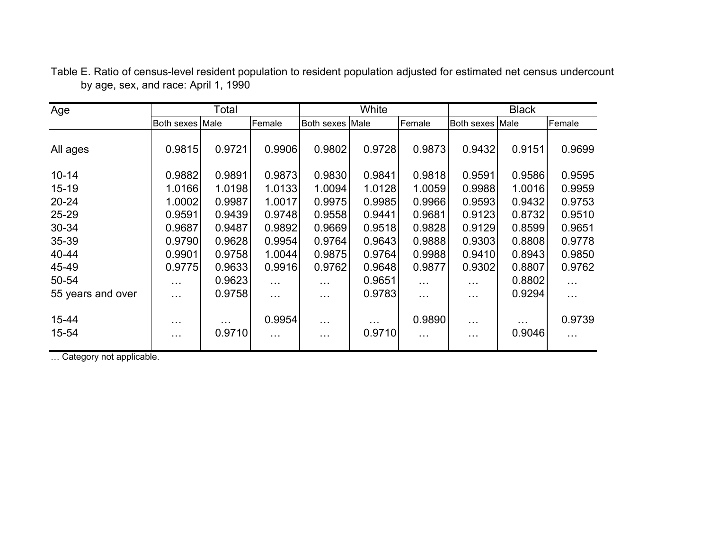| Age               |                        | Total       |                      |                                    | White              |                      | <b>Black</b>                     |             |                    |  |
|-------------------|------------------------|-------------|----------------------|------------------------------------|--------------------|----------------------|----------------------------------|-------------|--------------------|--|
|                   | Both sexes Male        |             | Female               | Both sexes Male                    |                    | Female               | Both sexes Male                  |             | Female             |  |
| All ages          | 0.9815                 | 0.9721      | 0.9906               | 0.9802                             | 0.9728             | 0.9873               | 0.9432                           | 0.9151      | 0.9699             |  |
| $10 - 14$         | 0.9882                 | 0.9891      | 0.9873               | 0.9830                             | 0.9841             | 0.9818               | 0.9591                           | 0.9586      | 0.9595             |  |
| $15 - 19$         | 1.0166                 | 1.0198      | 1.0133               | 1.0094                             | 1.0128             | 1.0059               | 0.9988                           | 1.0016      | 0.9959             |  |
| $20 - 24$         | 1.0002                 | 0.9987      | 1.0017               | 0.9975                             | 0.9985             | 0.9966               | 0.9593                           | 0.9432      | 0.9753             |  |
| 25-29             | 0.9591                 | 0.9439      | 0.9748               | 0.9558                             | 0.9441             | 0.9681               | 0.9123                           | 0.8732      | 0.9510             |  |
| 30-34             | 0.9687                 | 0.9487      | 0.9892               | 0.9669                             | 0.9518             | 0.9828               | 0.9129                           | 0.8599      | 0.9651             |  |
| 35-39             | 0.9790                 | 0.9628      | 0.9954               | 0.9764                             | 0.9643             | 0.9888               | 0.9303                           | 0.8808      | 0.9778             |  |
| 40-44             | 0.9901                 | 0.9758      | 1.0044               | 0.9875                             | 0.9764             | 0.9988               | 0.9410                           | 0.8943      | 0.9850             |  |
| 45-49             | 0.9775                 | 0.9633      | 0.9916               | 0.9762                             | 0.9648             | 0.9877               | 0.9302                           | 0.8807      | 0.9762             |  |
| 50-54             | $\sim 100$             | 0.9623      | $\sim 10$            | $\cdots$                           | 0.9651             | $\sim 100$           | $\cdots$                         | 0.8802      | $\cdots$           |  |
| 55 years and over | $\sim 100$             | 0.9758      | $\sim 100$           | $\sim 100$                         | 0.9783             | $\sim 100$           | $\cdots$                         | 0.9294      | $\cdots$           |  |
| 15-44<br>15-54    | $\cdots$<br>$\sim 100$ | .<br>0.9710 | 0.9954<br>$\sim 100$ | $\sim$ $\sim$ $\sim$<br>$\sim 100$ | $\cdots$<br>0.9710 | 0.9890<br>$\sim 100$ | $\cdots$<br>$\sim$ $\sim$ $\sim$ | .<br>0.9046 | 0.9739<br>$\cdots$ |  |

Table E. Ratio of census-level resident population to resident population adjusted for estimated net census undercount by age, sex, and race: April 1, 1990

… Category not applicable.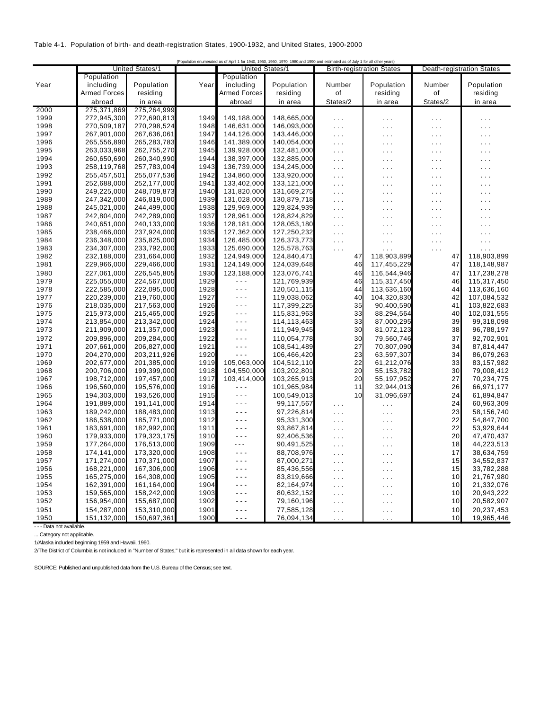#### Table 4-1. Population of birth- and death-registration States, 1900-1932, and United States, 1900-2000

| {Population enumerated as of April 1 for 1940, 1950, 1960, 1970, 1980, and 1990 and estimated as of July 1 for all other years} |                     |                        |      |                        |             |                      |                                  |                                  |                      |
|---------------------------------------------------------------------------------------------------------------------------------|---------------------|------------------------|------|------------------------|-------------|----------------------|----------------------------------|----------------------------------|----------------------|
|                                                                                                                                 |                     | <b>United States/1</b> |      | <b>United States/1</b> |             |                      | <b>Birth-registration States</b> | <b>Death-registration States</b> |                      |
|                                                                                                                                 | Population          |                        |      | Population             |             |                      |                                  |                                  |                      |
| Year                                                                                                                            | including           | Population             | Year | including              | Population  | Number               | Population                       | Number                           | Population           |
|                                                                                                                                 | <b>Armed Forces</b> | residing               |      | <b>Armed Forces</b>    | residing    | οf                   | residing                         | οf                               | residing             |
|                                                                                                                                 | abroad              | in area                |      | abroad                 | in area     | States/2             | in area                          | States/2                         | in area              |
| 2000                                                                                                                            | 275,371,869         | 275,264,999            |      |                        |             |                      |                                  |                                  |                      |
| 1999                                                                                                                            | 272,945,300         | 272,690,813            | 1949 | 149,188,000            | 148,665,000 | $\sim 100$           | $\sim$ $\sim$ $\sim$             | $\sim$                           | $\sim$ $\sim$ $\sim$ |
| 1998                                                                                                                            | 270,509,187         | 270,298,524            | 1948 | 146,631,000            | 146,093,000 | $\sim 10$            | $\sim$ $\sim$                    | $\sim$ .                         | $\sim$ $\sim$        |
| 1997                                                                                                                            | 267,901,000         | 267,636,061            | 1947 | 144,126,000            | 143,446,000 | $\sim$ $\sim$        | $\sim$ $\sim$ $\sim$             | $\mathcal{L}(\mathcal{L})$       | $\sim$ $\sim$        |
| 1996                                                                                                                            | 265,556,890         | 265,283,783            | 1946 | 141,389,000            | 140,054,000 | $\sim 100$           | $\sim 10$                        | $\mathcal{L}(\mathcal{L})$       | $\sim$ $\sim$        |
| 1995                                                                                                                            | 263,033,968         | 262,755,270            | 1945 | 139,928,000            | 132,481,000 | $\cdots$             | $\sim$ $\sim$ $\sim$             | $\sim$ .                         | $\sim$ $\sim$ $\sim$ |
| 1994                                                                                                                            | 260,650,690         | 260,340,990            | 1944 | 138,397,000            | 132,885,000 | $\sim 10$            | $\sim$ $\sim$ $\sim$             | $\mathcal{L}(\mathcal{L})$       | .                    |
| 1993                                                                                                                            | 258,119,768         | 257,783,004            | 1943 | 136,739,000            | 134,245,000 | $\sim$ $\sim$ $\sim$ | $\cdots$                         | .                                | .                    |
| 1992                                                                                                                            | 255,457,501         | 255,077,536            | 1942 | 134,860,000            | 133,920,000 | $\sim 100$           | $\sim$ $\sim$ $\sim$             | $\sim$ .                         | $\sim$ $\sim$ $\sim$ |
| 1991                                                                                                                            | 252,688,000         | 252,177,000            | 1941 | 133,402,000            | 133,121,000 | $\sim 100$           | $\sim$ $\sim$ $\sim$             | $\mathcal{L}(\mathcal{L})$       | $\cdots$             |
| 1990                                                                                                                            | 249,225,000         | 248,709,873            | 1940 | 131,820,000            | 131,669,275 | $\sim$ $\sim$ $\sim$ | $\sim$ $\sim$ $\sim$             | $\mathcal{L}(\mathcal{L})$       | $\sim$               |
| 1989                                                                                                                            | 247,342,000         | 246,819,000            | 1939 | 131,028,000            | 130,879,718 | $\sim 10$            | $\sim$ $\sim$                    | $\sim$ .                         | .                    |
| 1988                                                                                                                            | 245,021,000         | 244,499,000            | 1938 | 129,969,000            | 129,824,939 | $\sim$ $\sim$        | $\sim$ .                         | $\mathcal{L}$                    | $\sim$               |
| 1987                                                                                                                            | 242,804,000         | 242,289,000            | 1937 | 128,961,000            | 128,824,829 | $\cdots$             | $\sim$ $\sim$ $\sim$             | $\sim$                           | .                    |
| 1986                                                                                                                            | 240,651,000         | 240,133,000            | 1936 | 128,181,000            | 128,053,180 | $\sim$ $\sim$ $\sim$ | $\sim$ $\sim$                    | $\mathcal{L}(\mathcal{L})$       |                      |
| 1985                                                                                                                            | 238,466,000         | 237,924,000            | 1935 | 127,362,000            | 127,250,232 | $\sim$ $\sim$        | $\sim$ .                         | $\mathcal{L}$                    | .                    |
| 1984                                                                                                                            | 236,348,000         | 235,825,000            | 1934 | 126,485,000            | 126,373,773 | $\sim 100$           | $\sim 10$                        | $\sim$ $\sim$ $\sim$             | $\sim$ $\sim$ $\sim$ |
| 1983                                                                                                                            | 234,307,000         | 233,792,000            | 1933 | 125,690,000            | 125,578,763 | $\sim 10$            | $\sim$ $\sim$ $\sim$             | $\sim$ $\sim$                    | $\cdots$             |
| 1982                                                                                                                            | 232,188,000         | 231,664,000            | 1932 | 124,949,000            | 124,840,471 | 47                   | 118,903,899                      | 47                               | 118,903,899          |
| 1981                                                                                                                            | 229,966,000         | 229,466,000            | 1931 | 124,149,000            | 124,039,648 | 46                   | 117,455,229                      | 47                               | 118,148,987          |
| 1980                                                                                                                            | 227,061,000         | 226,545,805            | 1930 | 123,188,000            | 123,076,741 | 46                   | 116,544,946                      | 47                               | 117,238,278          |
| 1979                                                                                                                            | 225,055,000         | 224,567,000            | 1929 | $- - -$                | 121,769,939 | 46                   | 115,317,450                      | 46                               | 115,317,450          |
| 1978                                                                                                                            | 222,585,000         | 222,095,000            | 1928 | $- - -$                | 120,501,115 | 44                   | 113,636,160                      | 44                               | 113,636,160          |
| 1977                                                                                                                            | 220,239,000         | 219,760,000            | 1927 | $- - -$                | 119,038,062 | 40                   | 104,320,830                      | 42                               | 107,084,532          |
| 1976                                                                                                                            | 218,035,000         | 217,563,000            | 1926 | $- - -$                | 117,399,225 | 35                   | 90,400,590                       | 41                               | 103,822,683          |
| 1975                                                                                                                            | 215,973,000         | 215,465,000            | 1925 | $- - -$                | 115,831,963 | 33                   | 88,294,564                       | 40                               | 102,031,555          |
| 1974                                                                                                                            | 213,854,000         | 213,342,000            | 1924 | $- - -$                | 114,113,463 | 33                   | 87,000,295                       | 39                               | 99,318,098           |
| 1973                                                                                                                            | 211,909,000         | 211,357,000            | 1923 | $- - -$                | 111,949,945 | 30                   | 81,072,123                       | 38                               | 96,788,197           |
| 1972                                                                                                                            | 209,896,000         | 209,284,000            | 1922 | $- - -$                | 110,054,778 | 30                   | 79,560,746                       | 37                               | 92,702,901           |
| 1971                                                                                                                            | 207,661,000         | 206,827,000            | 1921 | $- - -$                | 108,541,489 | 27                   | 70,807,090                       | 34                               | 87,814,447           |
| 1970                                                                                                                            | 204,270,000         | 203,211,926            | 1920 | $- - -$                | 106,466,420 | 23                   | 63,597,307                       | 34                               | 86,079,263           |
| 1969                                                                                                                            | 202,677,000         | 201,385,000            | 1919 | 105,063,000            | 104,512,110 | 22                   | 61,212,076                       | 33                               | 83,157,982           |
| 1968                                                                                                                            | 200,706,000         | 199,399,000            | 1918 | 104,550,000            | 103,202,801 | 20                   | 55, 153, 782                     | 30                               | 79,008,412           |
| 1967                                                                                                                            | 198,712,000         | 197,457,000            | 1917 | 103,414,000            | 103,265,913 | 20                   | 55,197,952                       | 27                               | 70,234,775           |
| 1966                                                                                                                            | 196,560,000         | 195,576,000            | 1916 | $- - -$                | 101,965,984 | 11                   | 32,944,013                       | 26                               | 66,971,177           |
| 1965                                                                                                                            | 194.303.000         | 193,526,000            | 1915 | $\sim$ $\sim$ $\sim$   | 100,549,013 | 10                   | 31,096,697                       | 24                               | 61,894,847           |
| 1964                                                                                                                            | 191,889,000         | 191,141,000            | 1914 | $- - -$                | 99,117,567  | $\sim 100$           | $\sim$ .                         | 24                               | 60,963,309           |
| 1963                                                                                                                            | 189,242,000         | 188,483,000            | 1913 | $- - -$                | 97,226,814  | $\sim 100$           | $\sim 100$                       | 23                               | 58,156,740           |
| 1962                                                                                                                            | 186,538,000         | 185,771,000            | 1912 | $- - -$                | 95,331,300  | $\sim 100$           | $\sim$ $\sim$ $\sim$             | 22                               | 54,847,700           |
| 1961                                                                                                                            | 183,691,000         | 182,992,000            | 1911 | $- - -$                | 93,867,814  | $\sim$ $\sim$ $\sim$ | $\sim$ $\sim$ $\sim$             | 22                               | 53,929,644           |
| 1960                                                                                                                            | 179,933,000         | 179,323,175            | 1910 | $- - -$                | 92,406,536  | $\sim$ $\sim$ $\sim$ | $\sim$ $\sim$ $\sim$             | 20                               | 47,470,437           |
| 1959                                                                                                                            | 177,264,000         | 176,513,000            | 1909 | $- - -$                | 90,491,525  | $\sim 100$           | $\sim$ $\sim$                    | 18                               | 44,223,513           |
| 1958                                                                                                                            | 174,141,000         | 173,320,000            | 1908 | $- - -$                | 88,708,976  | $\sim 10$            | $\sim$ $\sim$ $\sim$             | 17                               | 38,634,759           |
| 1957                                                                                                                            | 171,274,000         | 170,371,000            | 1907 | $- - -$                | 87,000,271  | $\sim$ $\sim$ $\sim$ | $\sim$ $\sim$ $\sim$             | 15                               | 34,552,837           |
| 1956                                                                                                                            | 168,221,000         | 167,306,000            | 1906 | $- - -$                | 85,436,556  | $\sim$ $\sim$        | $\sim$ $\sim$                    | 15                               | 33,782,288           |
| 1955                                                                                                                            | 165,275,000         | 164,308,000            | 1905 | $- - -$                | 83,819,666  | $\sim 100$           | $\sim$                           | 10                               | 21,767,980           |
| 1954                                                                                                                            | 162,391,000         | 161,164,000            | 1904 | $- - -$                | 82,164,974  | $\sim 100$           | $\sim$ $\sim$                    | 10                               | 21,332,076           |
| 1953                                                                                                                            | 159,565,000         | 158,242,000            | 1903 | - - -                  | 80,632,152  | $\sim 10$            | $\sim$ $\sim$ $\sim$             | 10                               | 20,943,222           |
| 1952                                                                                                                            | 156,954,000         | 155,687,000            | 1902 | - - -                  | 79,160,196  | $\sim$ $\sim$        | $\sim$ $\sim$ $\sim$             | 10                               | 20,582,907           |
| 1951                                                                                                                            | 154,287,000         | 153,310,000            | 1901 | $- - -$                | 77,585,128  | $\sim$ $\sim$ $\sim$ | $\cdots$                         | 10                               | 20,237,453           |
| 1950                                                                                                                            | 151,132,000         | 150,697,361            | 1900 | $- - -$                | 76,094,134  |                      |                                  | 10                               | 19,965,446           |

- - - Data not available.

... Category not applicable.

1/Alaska included beginning 1959 and Hawaii, 1960.

2/The District of Columbia is not included in "Number of States," but it is represented in all data shown for each year.

SOURCE: Published and unpublished data from the U.S. Bureau of the Census; see text.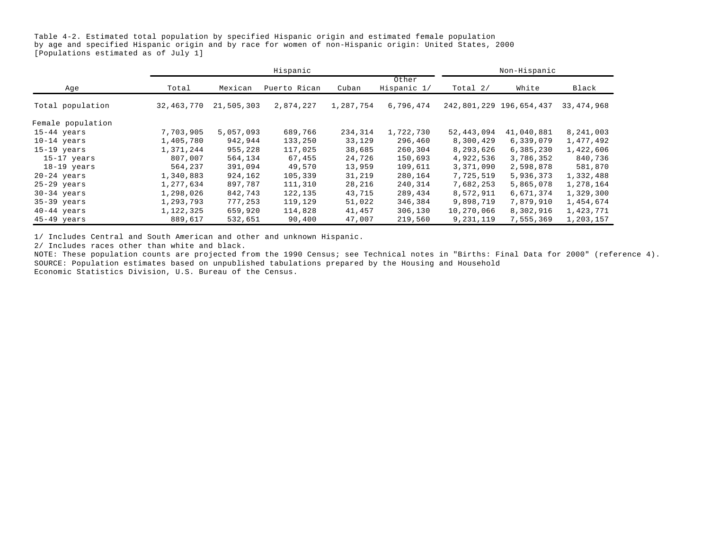Table 4-2. Estimated total population by specified Hispanic origin and estimated female population by age and specified Hispanic origin and by race for women of non-Hispanic origin: United States, 2000 [Populations estimated as of July 1]

|                   |            |            | Hispanic     |           |                      |            | Non-Hispanic            |              |
|-------------------|------------|------------|--------------|-----------|----------------------|------------|-------------------------|--------------|
| Age               | Total      | Mexican    | Puerto Rican | Cuban     | Other<br>Hispanic 1/ | Total $2/$ | White                   | Black        |
| Total population  | 32,463,770 | 21,505,303 | 2,874,227    | 1,287,754 | 6,796,474            |            | 242,801,229 196,654,437 | 33, 474, 968 |
| Female population |            |            |              |           |                      |            |                         |              |
| $15-44$ years     | 7,703,905  | 5,057,093  | 689,766      | 234,314   | 1,722,730            | 52,443,094 | 41,040,881              | 8,241,003    |
| $10-14$ years     | 1,405,780  | 942,944    | 133,250      | 33,129    | 296,460              | 8,300,429  | 6,339,079               | 1,477,492    |
| $15-19$ years     | 1,371,244  | 955,228    | 117,025      | 38,685    | 260,304              | 8,293,626  | 6,385,230               | 1,422,606    |
| 15-17 years       | 807,007    | 564,134    | 67,455       | 24,726    | 150,693              | 4,922,536  | 3,786,352               | 840,736      |
| $18-19$ years     | 564,237    | 391,094    | 49,570       | 13,959    | 109,611              | 3,371,090  | 2,598,878               | 581,870      |
| $20-24$ years     | 1,340,883  | 924,162    | 105,339      | 31,219    | 280,164              | 7,725,519  | 5,936,373               | 1,332,488    |
| $25-29$ years     | 1,277,634  | 897,787    | 111,310      | 28,216    | 240,314              | 7,682,253  | 5,865,078               | 1,278,164    |
| $30-34$ years     | 1,298,026  | 842,743    | 122,135      | 43,715    | 289,434              | 8,572,911  | 6,671,374               | 1,329,300    |
| $35-39$ years     | 1,293,793  | 777,253    | 119,129      | 51,022    | 346,384              | 9,898,719  | 7,879,910               | 1,454,674    |
| $40-44$ years     | 1,122,325  | 659,920    | 114,828      | 41,457    | 306,130              | 10,270,066 | 8,302,916               | 1,423,771    |
| 45-49 years       | 889,617    | 532,651    | 90,400       | 47,007    | 219,560              | 9,231,119  | 7,555,369               | 1,203,157    |

1/ Includes Central and South American and other and unknown Hispanic.

2/ Includes races other than white and black.

NOTE: These population counts are projected from the 1990 Census; see Technical notes in "Births: Final Data for 2000" (reference 4). SOURCE: Population estimates based on unpublished tabulations prepared by the Housing and Household Economic Statistics Division, U.S. Bureau of the Census.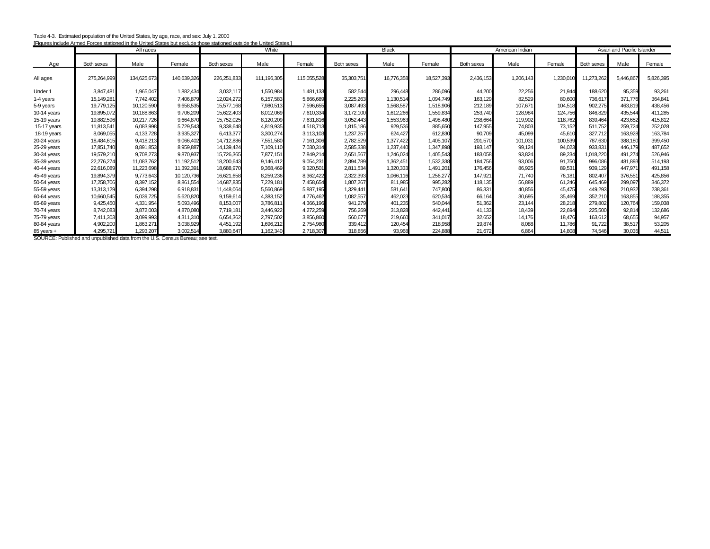| Table 4-3. Estimated population of the United States, by age, race, and sex: July 1, 2000                            |
|----------------------------------------------------------------------------------------------------------------------|
| [Figures include Armed Forces stationed in the United States but exclude those stationed outside the United States.] |

|                |             | All races   |             | igates include Arrited Turces stationed in the United States but exclude those stationed outside the United States.<br>White |             | <b>Black</b> |                   |            | American Indian |            |           | Asian and Pacific Islander |            |           |           |
|----------------|-------------|-------------|-------------|------------------------------------------------------------------------------------------------------------------------------|-------------|--------------|-------------------|------------|-----------------|------------|-----------|----------------------------|------------|-----------|-----------|
| Age            | Both sexes  | Male        | Female      | <b>Both sexes</b>                                                                                                            | Male        | Female       | <b>Both sexes</b> | Male       | Female          | Both sexes | Male      | Female                     | Both sexes | Male      | Female    |
| All ages       | 275,264,999 | 134,625,673 | 140,639,326 | 226,251,833                                                                                                                  | 111,196,305 | 115,055,528  | 35,303,751        | 16,776,358 | 18,527,393      | 2,436,153  | 1,206,143 | 1,230,010                  | 11,273,262 | 5,446,867 | 5,826,395 |
| Under 1        | 3.847.481   | 1,965,047   | 1,882,434   | 3,032,117                                                                                                                    | 1,550,984   | 1,481,133    | 582.544           | 296.448    | 286.096         | 44.200     | 22,256    | 21,944                     | 188,620    | 95,359    | 93,261    |
| 1-4 years      | 15,149,281  | 7,742,402   | 7,406,879   | 12,024,272                                                                                                                   | 6,157,583   | 5,866,689    | 2,225,263         | 1,130,514  | 1,094,749       | 163,129    | 82,529    | 80,600                     | 736,617    | 371.776   | 364,841   |
| 5-9 years      | 19,779,125  | 10,120,590  | 9,658,535   | 15,577,168                                                                                                                   | 7,980,513   | 7,596,655    | 3,087,493         | 1,568,587  | 1,518,906       | 212,189    | 107,671   | 104,518                    | 902,275    | 463,819   | 438,456   |
| $10-14$ years  | 19,895,072  | 10,188,863  | 9,706,209   | 15,622,403                                                                                                                   | 8,012,069   | 7,610,334    | 3,172,100         | 1,612,266  | 1,559,834       | 253,740    | 128,984   | 124,756                    | 846,829    | 435.544   | 411,285   |
| 15-19 years    | 19,882,596  | 10,217,726  | 9,664,870   | 15,752,025                                                                                                                   | 8,120,209   | 7,631,816    | 3,052,443         | 1,553,963  | 1,498,480       | 238,664    | 119,902   | 118,762                    | 839,464    | 423,652   | 415,812   |
| 15-17 years    | 11,813,541  | 6,083,998   | 5,729,543   | 9,338,648                                                                                                                    | 4,819,935   | 4,518,713    | 1,815,186         | 929,536    | 885,650         | 147,955    | 74,803    | 73,152                     | 511,752    | 259,724   | 252,028   |
| 18-19 years    | 8.069.055   | 4,133,728   | 3,935,327   | 6.413.377                                                                                                                    | 3.300.274   | 3.113.103    | 1,237,257         | 624.427    | 612.830         | 90,709     | 45,099    | 45,610                     | 327.712    | 163.928   | 163,784   |
| $20-24$ years  | 18,484,615  | 9,418,213   | 9,066,402   | 14,712,886                                                                                                                   | 7,551,580   | 7,161,306    | 2,782,529         | 1.377.422  | 1,405,107       | 201,570    | 101,031   | 100,539                    | 787,630    | 388,180   | 399,450   |
| 25-29 years    | 17,851,740  | 8,891,853   | 8,959,887   | 14,139,424                                                                                                                   | 7,109,110   | 7,030,314    | 2,585,338         | 1.237.440  | 1,347,898       | 193,147    | 99,124    | 94,023                     | 933,831    | 446,179   | 487,652   |
| 30-34 years    | 19,579,210  | 9,708,273   | 9,870,937   | 15,726,365                                                                                                                   | 7.877.151   | 7.849.214    | 2,651,567         | 1.246.024  | 1,405,543       | 183.058    | 93,824    | 89,234                     | 1,018,220  | 491.274   | 526,946   |
| $35-39$ years  | 22,276,274  | 11,083,762  | 11,192,512  | 18,200,643                                                                                                                   | 9.146.412   | 9,054,231    | 2,894,789         | 1,362,451  | 1,532,338       | 184.756    | 93,006    | 91,750                     | 996,086    | 481,893   | 514,193   |
| 40-44 years    | 22.616.089  | 11,223,698  | 11,392,391  | 18,688,970                                                                                                                   | 9.368.469   | 9,320,501    | 2,811,534         | 1.320.333  | 1,491,201       | 176.456    | 86,925    | 89,531                     | 939,129    | 447,971   | 491,158   |
| 45-49 years    | 19.894.379  | 9,773,643   | 10.120.736  | 16.621.658                                                                                                                   | 8.259.236   | 8.362.422    | 2,322,393         | 1.066.116  | 1,256,277       | 147.921    | 71.740    | 76.181                     | 802.407    | 376,551   | 425,856   |
| 50-54 years    | 17,258,706  | 8,397,152   | 8,861,554   | 14,687,835                                                                                                                   | 7,229,181   | 7,458,654    | 1,807,267         | 811.985    | 995,282         | 118.135    | 56,889    | 61,246                     | 645,469    | 299,097   | 346,372   |
| 55-59 years    | 13,313,129  | 6,394,298   | 6,918,831   | 11,448,064                                                                                                                   | 5,560,869   | 5,887,195    | 1,329,441         | 581.641    | 747,800         | 86,331     | 40,856    | 45,475                     | 449,293    | 210,932   | 238,361   |
| 60-64 years    | 10.660.545  | 5,039,725   | 5,620,820   | 9,159,614                                                                                                                    | 4.383.152   | 4.776.462    | 1,082,557         | 462.023    | 620.534         | 66,164     | 30,695    | 35,469                     | 352,210    | 163.855   | 188,355   |
| 65-69 years    | 9,425,450   | 4,331,954   | 5,093,496   | 8,153,007                                                                                                                    | 3,786,811   | 4,366,196    | 941,279           | 401,235    | 540,044         | 51.362     | 23,144    | 28,218                     | 279,802    | 120,764   | 159,038   |
| 70-74 years    | 8,742,083   | 3,872,003   | 4,870,080   | 7,719,181                                                                                                                    | 3,446,922   | 4,272,259    | 756,269           | 313,828    | 442,441         | 41,133     | 18,439    | 22,694                     | 225,500    | 92,814    | 132,686   |
| 75-79 years    | 7.411.303   | 3,099,993   | 4,311,310   | 6.654.362                                                                                                                    | 2,797,502   | 3,856,860    | 560,677           | 219,660    | 341.017         | 32,652     | 14,176    | 18,476                     | 163,612    | 68.655    | 94,957    |
| 80-84 years    | 4,902,200   | 1,863,271   | 3,038,929   | 4.451.192                                                                                                                    | 1,696,212   | 2,754,980    | 339.412           | 120.454    | 218,958         | 19,874     | 8,088     | 11,786                     | 91,722     | 38,517    | 53,205    |
| $85$ years $+$ | 4,295,721   | 1,293,207   | 3,002,514   | 3,880,647                                                                                                                    | 1,162,340   | 2.718.307    | 318,856           | 93,968     | 224,888         | 21,672     | 6.864     | 14,808                     | 74,546     | 30.035    | 44,511    |

SOURCE: Published and unpublished data from the U.S. Census Bureau; see text.